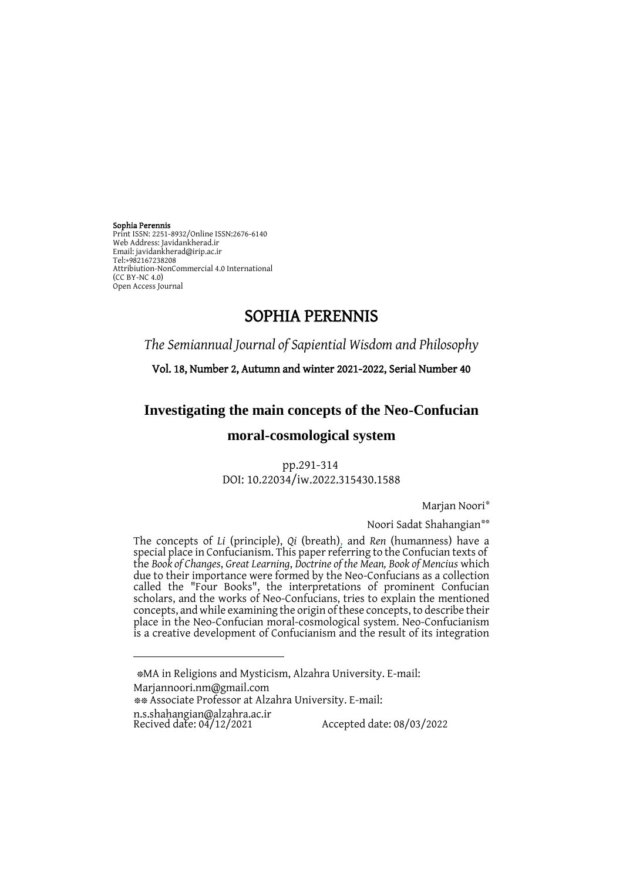Sophia Perennis Print ISSN: 2251-8932/Online ISSN:2676-6140 Web Address: Javidankherad.ir Email[: javidankherad@irip.ac.ir](mailto:javidankherad@irip.ac.ir) [Tel:+982167238208](tel:+982167238208) Attribiution-NonCommercial 4.0 International (CC BY-NC 4.0) Open Access Journal

 $\overline{a}$ 

# SOPHIA PERENNIS

*The Semiannual Journal of Sapiential Wisdom and Philosophy*

Vol. 18, Number 2, Autumn and winter 2021-2022, Serial Number 40

**Investigating the main concepts of the Neo-Confucian** 

## **moral-cosmological system**

pp.291-314 DOI: 10.22034/iw.2022.315430.1588

Marjan Noori\*

Noori Sadat Shahangian\*\*

The concepts of *Li* (principle), *Qi* (breath), and *Ren* (humanness) have a special place in Confucianism. This paper referring to the Confucian texts of the *Book of Changes*, *Great Learning*, *Doctrine of the Mean, Book of Mencius* which due to their importance were formed by the Neo-Confucians as a collection called the "Four Books", the interpretations of prominent Confucian scholars, and the works of Neo-Confucians, tries to explain the mentioned concepts, and while examining the origin of these concepts, to describe their place in the Neo-Confucian moral-cosmological system. Neo-Confucianism is a creative development of Confucianism and the result of its integration

\*MA in Religions and Mysticism, Alzahra University. E-mail: [Marjannoori.nm@gmail.com](mailto:example@yahoo.com(سبک) \*\* Associate Professor at Alzahra University. E-mail: [n.s.shahangian@alzahra.ac.ir](mailto:n.s.shahangian@alzahra.ac.ir)<br>Recived date: 04/12/2021 Recived date: 04/12/2021 Accepted date: 08/03/2022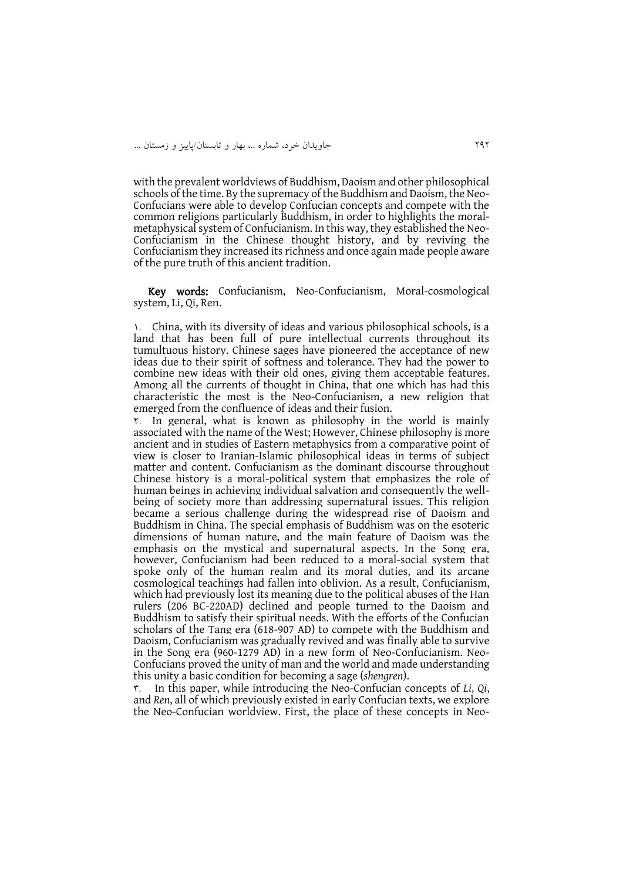with the prevalent worldviews of Buddhism, Daoism and other philosophical schools of the time. By the supremacy of the Buddhism and Daoism, the Neo-Confucians were able to develop Confucian concepts and compete with the common religions particularly Buddhism, in order to highlights the moralmetaphysical system of Confucianism. In this way, they established the Neo-Confucianism in the Chinese thought history, and by reviving the Confucianism they increased its richness and once again made people aware of the pure truth of this ancient tradition.

Key words: Confucianism, Neo-Confucianism, Moral-cosmological system, Li, Qi, Ren.

1. China, with its diversity of ideas and various philosophical schools, is a land that has been full of pure intellectual currents throughout its tumultuous history. Chinese sages have pioneered the acceptance of new ideas due to their spirit of softness and tolerance. They had the power to combine new ideas with their old ones, giving them acceptable features. Among all the currents of thought in China, that one which has had this characteristic the most is the Neo-Confucianism, a new religion that emerged from the confluence of ideas and their fusion.

2. In general, what is known as philosophy in the world is mainly associated with the name of the West; However, Chinese philosophy is more ancient and in studies of Eastern metaphysics from a comparative point of view is closer to Iranian-Islamic philosophical ideas in terms of subject matter and content. Confucianism as the dominant discourse throughout Chinese history is a moral-political system that emphasizes the role of human beings in achieving individual salvation and consequently the wellbeing of society more than addressing supernatural issues. This religion became a serious challenge during the widespread rise of Daoism and Buddhism in China. The special emphasis of Buddhism was on the esoteric dimensions of human nature, and the main feature of Daoism was the emphasis on the mystical and supernatural aspects. In the Song era, however, Confucianism had been reduced to a moral-social system that spoke only of the human realm and its moral duties, and its arcane cosmological teachings had fallen into oblivion. As a result, Confucianism, which had previously lost its meaning due to the political abuses of the Han rulers (206 BC-220AD) declined and people turned to the Daoism and Buddhism to satisfy their spiritual needs. With the efforts of the Confucian scholars of the Tang era (618-907 AD) to compete with the Buddhism and Daoism, Confucianism was gradually revived and was finally able to survive in the Song era (960-1279 AD) in a new form of Neo-Confucianism. Neo-Confucians proved the unity of man and the world and made understanding this unity a basic condition for becoming a sage (*shengren*).

3. In this paper, while introducing the Neo-Confucian concepts of *Li*, *Qi*, and *Ren*, all of which previously existed in early Confucian texts, we explore the Neo-Confucian worldview. First, the place of these concepts in Neo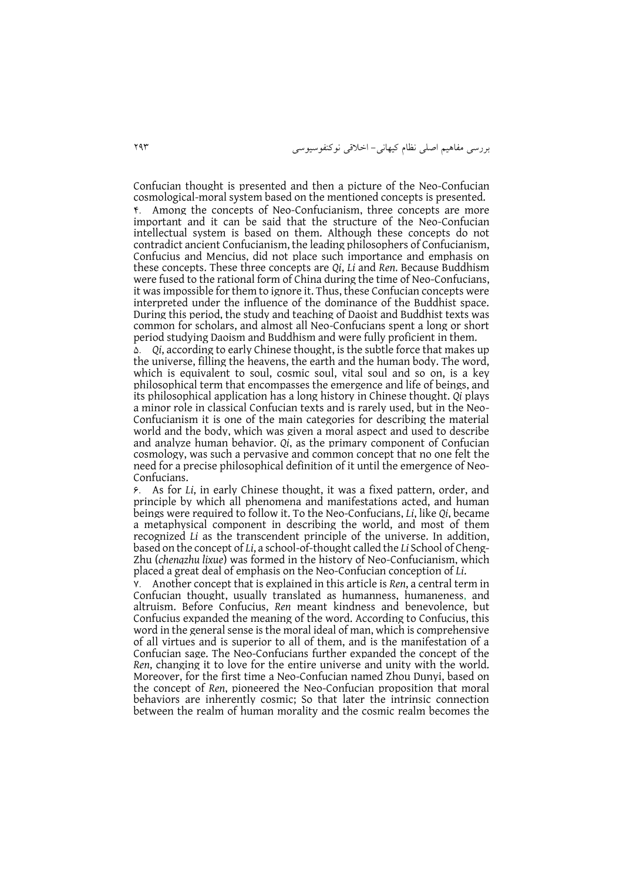بررسی مفاهیم اصلی نظام کیهانی- اخالقی نوکنفوسیوسی 292

Confucian thought is presented and then a picture of the Neo-Confucian cosmological-moral system based on the mentioned concepts is presented. 4. Among the concepts of Neo-Confucianism, three concepts are more important and it can be said that the structure of the Neo-Confucian intellectual system is based on them. Although these concepts do not contradict ancient Confucianism, the leading philosophers of Confucianism, Confucius and Mencius, did not place such importance and emphasis on these concepts. These three concepts are *Qi*, *Li* and *Ren*. Because Buddhism were fused to the rational form of China during the time of Neo-Confucians, it was impossible for them to ignore it. Thus, these Confucian concepts were interpreted under the influence of the dominance of the Buddhist space. During this period, the study and teaching of Daoist and Buddhist texts was common for scholars, and almost all Neo-Confucians spent a long or short period studying Daoism and Buddhism and were fully proficient in them.

5. *Qi*, according to early Chinese thought, is the subtle force that makes up the universe, filling the heavens, the earth and the human body. The word, which is equivalent to soul, cosmic soul, vital soul and so on, is a key philosophical term that encompasses the emergence and life of beings, and its philosophical application has a long history in Chinese thought. *Qi* plays a minor role in classical Confucian texts and is rarely used, but in the Neo-Confucianism it is one of the main categories for describing the material world and the body, which was given a moral aspect and used to describe and analyze human behavior. *Qi*, as the primary component of Confucian cosmology, was such a pervasive and common concept that no one felt the need for a precise philosophical definition of it until the emergence of Neo-Confucians.

6. As for *Li*, in early Chinese thought, it was a fixed pattern, order, and principle by which all phenomena and manifestations acted, and human beings were required to follow it. To the Neo-Confucians, *Li*, like *Qi*, became a metaphysical component in describing the world, and most of them recognized *Li* as the transcendent principle of the universe. In addition, based on the concept of *Li*, a school-of-thought called the *Li* School of Cheng-Zhu (*chengzhu lixue*) was formed in the history of Neo-Confucianism, which placed a great deal of emphasis on the Neo-Confucian conception of *Li*.

7. Another concept that is explained in this article is *Ren*, a central term in Confucian thought, usually translated as humanness, humaneness, and altruism. Before Confucius, *Ren* meant kindness and benevolence, but Confucius expanded the meaning of the word. According to Confucius, this word in the general sense is the moral ideal of man, which is comprehensive of all virtues and is superior to all of them, and is the manifestation of a Confucian sage. The Neo-Confucians further expanded the concept of the *Ren*, changing it to love for the entire universe and unity with the world. Moreover, for the first time a Neo-Confucian named Zhou Dunyi, based on the concept of *Ren*, pioneered the Neo-Confucian proposition that moral behaviors are inherently cosmic; So that later the intrinsic connection between the realm of human morality and the cosmic realm becomes the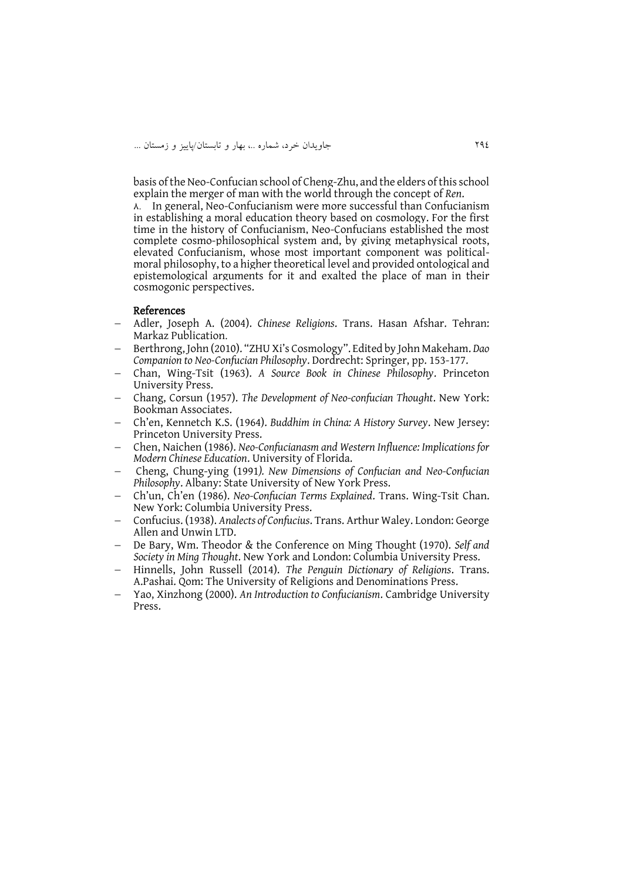basis of the Neo-Confucian school of Cheng-Zhu, and the elders of this school explain the merger of man with the world through the concept of *Ren*.

 $\lambda$ . In general, Neo-Confucianism were more successful than Confucianism in establishing a moral education theory based on cosmology. For the first time in the history of Confucianism, Neo-Confucians established the most complete cosmo-philosophical system and, by giving metaphysical roots, elevated Confucianism, whose most important component was politicalmoral philosophy, to a higher theoretical level and provided ontological and epistemological arguments for it and exalted the place of man in their cosmogonic perspectives.

#### References

- Adler, Joseph A. (2004). *Chinese Religions*. Trans. Hasan Afshar. Tehran: Markaz Publication.
- Berthrong, John (2010). "ZHU Xi's Cosmology". Edited by John Makeham. *Dao Companion to Neo-Confucian Philosophy*. Dordrecht: Springer, pp. 153-177.
- Chan, Wing-Tsit (1963). *A Source Book in Chinese Philosophy*. Princeton University Press.
- Chang, Corsun (1957). *The Development of Neo-confucian Thought*. New York: Bookman Associates.
- Ch'en, Kennetch K.S. (1964). *Buddhim in China: A History Survey*. New Jersey: Princeton University Press.
- Chen, Naichen (1986). *Neo-Confucianasm and Western Influence: Implications for Modern Chinese Education*. University of Florida.
- Cheng, Chung-ying (1991*). New Dimensions of Confucian and Neo-Confucian Philosophy*. Albany: State University of New York Press.
- Ch'un, Ch'en (1986). *Neo-Confucian Terms Explained*. Trans. Wing-Tsit Chan. New York: Columbia University Press.
- Confucius. (1938). *Analects of Confucius*. Trans. Arthur Waley. London: George Allen and Unwin LTD.
- De Bary, Wm. Theodor & the Conference on Ming Thought (1970). *Self and Society in Ming Thought*. New York and London: Columbia University Press.
- Hinnells, John Russell (2014). *The Penguin Dictionary of Religions*. Trans. A.Pashai. Qom: The University of Religions and Denominations Press.
- Yao, Xinzhong (2000). *An Introduction to Confucianism*. Cambridge University Press.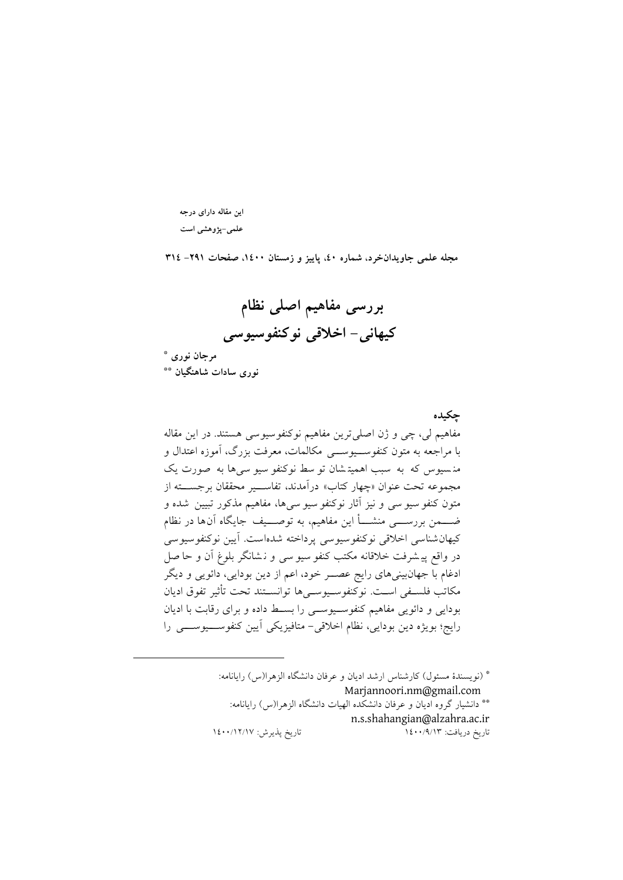**این مقاله دارای درجه علمی-پژوهشی است**

**مجله علمی جاویدانخرد، شماره ،04 پاییز و زمستان ،0044 صفحات -190 400**

**بررسی مفاهیم اصلی نظام**

**کیهانی- اخالقی نوکنفوسیوسی**

**\* مرجان نوری** 

<u>.</u>

**\*\* نوری سادات شاهنگیان** 

**چکیده** مفاهیم لی، چی و ژن اصلی ترين مفاهیم نوکنفوسيوسی هستند. در اين مقاله با مراجعه به متون کنفوس یوس ی مکالمات، معرفت بزرگ، آموزه اعتدال و من س یوس که به سبب اهمیت شان تو سط نوکنفو سیو سی ها به صو رت يک مجموعه تحت عنوان »چهار کتاب« درآمدند، تفاس یر محققان برجس ته از متون کنفو سیو سی و نیز آثار نوکنفو سیو سی ها، مفاهیم مذکور تبیین شده و ضـــــــــمن بررســـــــــی منشــــــأ اين مفاهيم، به توصـــــيف جايگاه آن۱ها در نظام کیهان شناسی اخلاقی نوکنفوسیوسی پرداخته شده است. آیین نوکنفوسیوسی در واقع پیشرفت خلاقانه مکتب کنفو سیو سی و نـشانگر بلوغ آن و حا صل ادغام با جهانبینیهای رايج عص ر خود، اعم از دين بودايی، دائويی و ديگر مکاتب فلسفی است. نوکنفوسیووسیها توانستند تحت تأثیر تفوق ادیان بودايی و دائويی مفاهیم کنفوس یوس ی را بس ط داده و برای رقابت با اديان رايج؛ بويژه دين بودايی، نظام اخلاقی- متافيزيکی آيين کنفوســـيوســـی را

> \* )نويسندة مسئول( کارشناس ارشد اديان و عرفان دانشگاه الزهرا)س( رايانامه: Marjannoori.nm@gmail.com \*\* دانشیار گروه ادیان و عرفان دانشکده الهیات دانشگاه الزهرا(س) رایانامه: [n.s.shahangian@alzahra.ac.ir](mailto:n.s.shahangian@alzahra.ac.ir) تاريخ دريافت: 3211/9/32 تاريخ پذيرش: 3211/32/31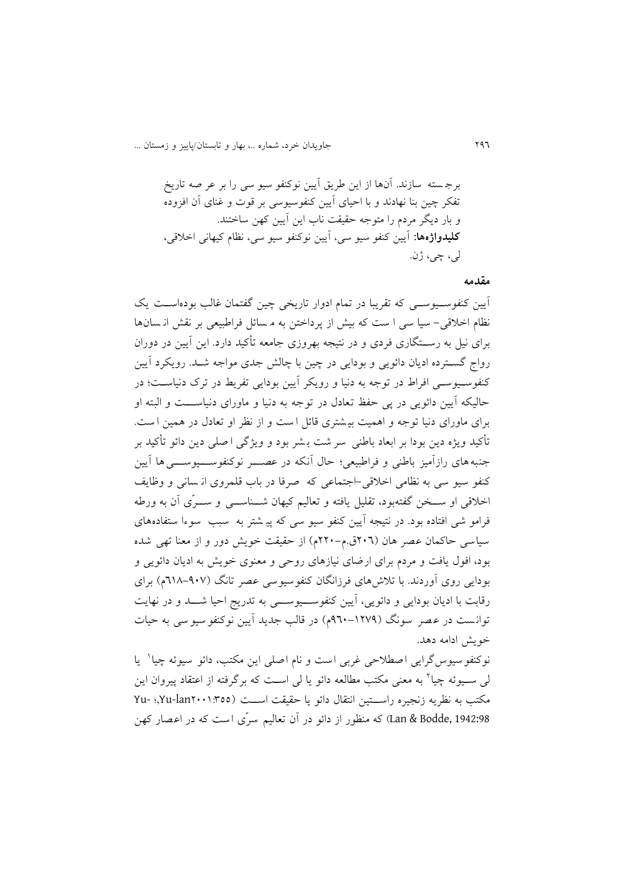برج سته سازند . آنها از اين طريق آيین نوکنفو س یو سی را بر عر صه تار يخ تفکر چین بنا نهادند و با احیای آيین کنفوسیوسی بر قوت و غنای آن افزوده و بار ديگر مردم را متوجه حقیقت ناب اين آيین کهن ساختند. **کلیدواژهها:** آيین کنفو س یو سی ، آيین نوکنفو س یو سی، نظام کیهانی اخالقی، لی، چی، ژن.

#### **مقدمه**

آيين کنفوسـيوســي که تقريبا در تمام ادوار تاريخی چين گفتمان غالب بودهاســت يک نظام اخلاقی- سیا سی ا ست که بیش از پرداختن به م سائل فراطبیعی بر نقش از سانها برای نیل به رســتگاری فردی و در نتیجه بهروزی جامعه تأکید دارد. این آیین در دوران رواج گســترده اديان دائويي و بودايی در چين با چالش جدی مواجه شــد. رويکرد آيين کنفوسـيوسـي افراط در توجه به دنیا و رويکر آيين بودايی تفريط در ترک دنياسـت؛ در حالیکه آيین دائويی در پی حفظ تعادل در توجه به دنیا و ماورای دنیاس ت و البته او برای ماورای دنیا توجه و اهمیت بی شتری قائل ا ست و از نظر او تعادل در همین ا ست. ت کید ويژه دين بودا بر ابعاد باطنی سر شت ب شر بود و و يژگی ا صل ی دين دائو ت کید بر جنبه های رازآمیز باطنی و فراطبیعی؛ حال آنکه در عصــــــر نوکنفوســـــيوســـــی ها آيين کنفو سیو سی به نظامی اخلاقی-اجتماعی که صرفا در باب قلمروی ان سانی و وظایف اخلاقی او ســخن گفتهبود، تقلیل یافته و تعالیم کیهان شـــناســـی و ســـرّی آن به ورطه فرامو شی افتاده بود. در نتیجه آیین کنفو سیو سی که پی شتر به سبب سوءا ستفادههای سياسی حاکمان عصر هان (٢٠٦ق.م-٢٢٠م) از حقیقت خويش دور و از معنا تهی شده بود، افول يافت و مردم برای ارضای نیازهای روحی و معنوی خويش به اديان دائويی و بودايی روی آوردند. با تلاش های فرزانگان کنفوسيوسی عصر تانگ (۹۰۷–۲۱۸م) برای رقابت با اديان بودايی و دائويی، آيين كنفوســيوســـی به تدريج احيا شـــد و در نهايت توانست در عصر سونگ (۱۲۷۹-۹٦۰م) در قالب جدید آیین نوکنفو سیو سی به حیات خويش ادامه دهد.

نوکنفو سیوس گرایی اصطلاحی غربی است و نام اصلی این مکتب، دائو سیوئه چیا ٰ یا لی ســیوئه چیا<sup>۲</sup> به معنی مکتب مطالعه دائو یا لی اســت که برگرفته از اعتقاد پیروان این مکتب به نظريه زنجیره راســـتین انتقال دائو يا حقیقت اســـت (١:٣٥٥-Yu, Yu- !Xu, 1942:98 ,Bodde & Lan )که منظور از دائو در آن تعالیم سر ی است که در اعصار کهن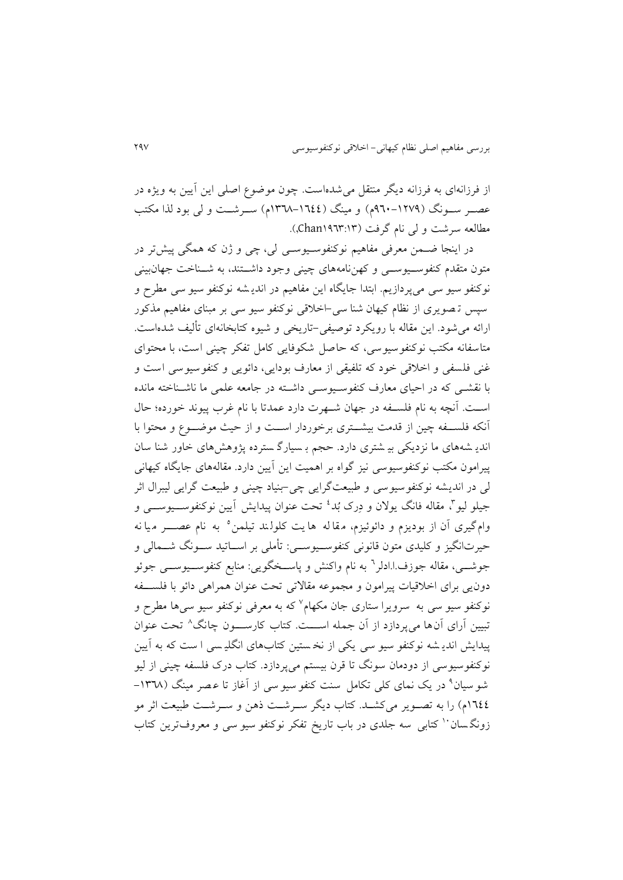از فرزانهای به فرزانه ديگر منتقل می شدهاست. چون موضوع اصلی اين آيين به ويژه در عصـر سـونگ (۱۲۷۹-۹۶۰م) و مینگ (۱۳٤٤–۱۳٦۸م) سـرشـت و لی بود لذا مکتب مطالعه سرشت و لی نام گرفت (Chan۱۹٦۳:۱۳).

در اینجا ضـمن معرفی مفاهیم نوکنفوسـیوسـی لی، چی و ژن که همگی پیشتر در متون متقدم کنفوســیوســی و کهننامههای چینی وجود داشــتند، به شــناخت جهانبینی نوکنفو سيو سي ميپردازيم. ابتدا جايگاه اين مفاهيم در انديـشه نوکنفو سيو سي مطرح و سپس ت صو يری از نظام کیهان شنا سی -اخالقی نوکنفو س یو سی بر مبنای مفاهیم مذکور ارائه میشود. اين مقاله با رويکرد توصیفی-تاريخی و شیوه کتابخانهای ت لیف شدهاست. متاسفانه مکتب نوکنفوسیوسی، که حاصل شکوفایی کامل تفکر چینی است، با محتوای غنی فلسفی و اخلاقی خود که تلفیقی از معارف بودایی، دائویی و کنفوسیوسی است و با نقشبی که در احیای معارف کنفوسیوسی داشته در جامعه علمی ما ناشـناخته مانده است. آنچه به نام فلســفه در جهان شــهرت دارد عمدتا با نام غرب پیوند خورده؛ حال آنکه فلس فه چین از قدمت بیش تری برخوردار اس ت و از حیث موض وع و محتوا با اندي شه های ما نزديکی بی شتری دارد. حجم ب س یارگ سترده پژوهشهای خاور شنا سان پیرامون مکتب نوکنفوسیوسی نیز گواه بر اهمیت اين آيین دارد. مقالههای جايگاه کیهانی لی در انديشه نوکنفوس یوسی و طبیعتگرايی چی-بنیاد چینی و طبیعت گرايی لیبرال اثر جیلو لیو<sup>م</sup>، مقاله فانگ یولان و دِرک بُد<sup>،</sup> تحت عنوان پیدایش آیین نوکنفوســـیوســـی و وام گیری أن از بودیزم و دائوئیزم، مقا له ها یت کلولند تیلمن° به نام عصــــر مـیا نه حیرتانگیز و کلیدی متون قانونی کنفوسـیوســی: تأملی بر اســاتید ســونگ شـــمالی و جوشـــی، مقاله جوزف.ا.ادلر<sup>٦</sup> به نام واکنش و پاســخگویی: منابع کنفوســـیوســـی جوئو دونيی برای اخالقیات پیرامون و مجموعه مقاالتی تحت عنوان همراهی دائو با فلس فه نوکنفو سیو سی به سرویرا ستاری جان مکهام<sup>۷</sup> که به معرفی نوکنفو سیو سی۵ا مطرح و تبیین أرای أن۱ه میپردازد از أن جمله اســـت. کتاب کارســـون چانگ^ تحت عنوان پیدايش اندي شه نوکنفو سيو سي يکی از نخ ستين کتابهای انگليسی ا ست که به آيين نوکنفوسیوسی از دودمان سونگ تا قرن بیستم می $\zeta$ ردازد. کتاب درک فلسفه چینی از لیو شو سیان<sup>۹</sup> در یک نمای کلی تکامل سنت کنفو سیو سی از آغاز تا عـصر مینگ (۱۳**٦**۸– 1٦٤٤م) را به تصـوير میکشـد. کتاب ديگر سـرشـت ذهن و سـرشـت طبيعت اثر مو زونگسان `` کتابی سه جلدی در باب تاريخ تفکر نوکنفو سيو سی و معروفترين کتاب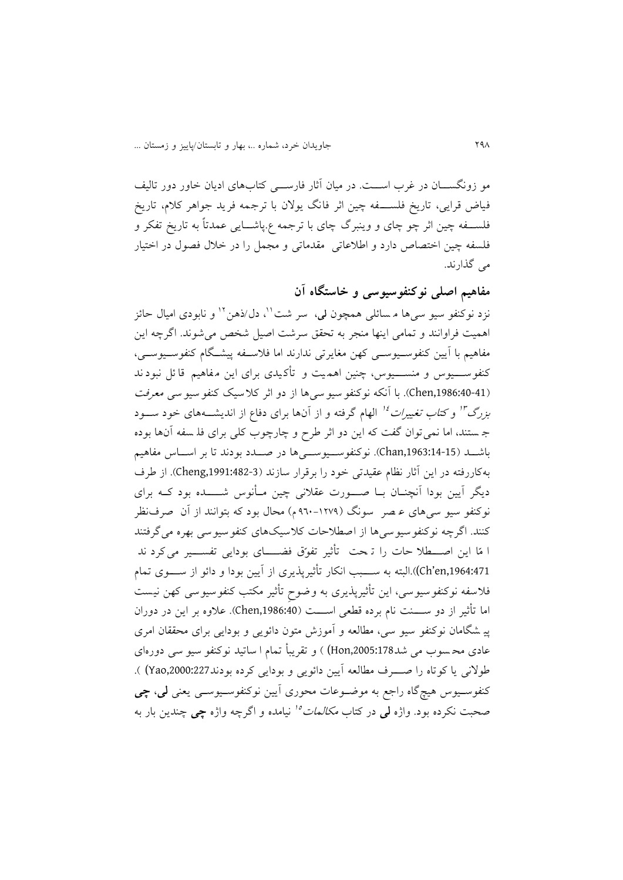مو زونگســـان در غرب اســـت. در میان آثار فارســـی کتابهای ادیان خاور دور تالیف فیاض قرایی، تاریخ فلســـفه چین اثر فانگ یولان با ترجمه فرید جواهر کلام، تاریخ فلس فه چین اثر چو چای و وينبرگ چای با ترجمه ع.پاش ايی عمدتاً به تاريخ تفکر و فلسفه چین اختصاص دارد و اطلاعاتی مقدماتی و مجمل را در خلال فصول در اختیار می گذارند.

**مفاهیم اصلی نوکنفوسیوسی و خاستگاه آن**

نزد نوکنفو سیو سیها م<sub>ُ</sub>سائل<sub>ی</sub> همچون لی، سر شت<sup>۰۱</sup>، دل/ذهن<sup>۱۲</sup> و نابودی امیال حائز اهمیت فراوانند و تمامی اينها منجر به تحقق سرشت اصیل شخص میشوند. اگرچه اين مفاهیم با آيين کنفوسـيوســي کهن مغايرتی ندارند اما فلاســفه پیشــگام کنفوســيوســي، کنفوســـيوس و منســــيوس، چنين اهـمـيت و تأکـيدی برای اين مـفاهيم قا ئل نبود ند (1986:40-41). با آنکه نوکنفو سیو سی ها از دو اثر کلاسیک کنفو سیو سی معرفت *بزرگ<sup>۳</sup>" و کتاب تغییرات <sup>۱۶</sup> الهام گرفته و از آن*ها برای دفاع از اندیشــههای خود ســـود ج ستند، اما نمی توان گفت که اين دو اثر طرح و چارچوب کلی برای فل سفه آن ها بوده باشــد (15-14:68.chan). نوکنفوســيوســي ها در صــدد بودند تا بر اســاس مفاهيم بهکاررفته در اين آثار نظام عقیدتی خود را برقرار سازند ),1991:482-3Cheng). از طرف ديگر آيين بودا آنچنــان بــا صــــورت عقلانی چین مــأنوس شــــــده بود کــه برای نوکنفو سیو سی های ع صر سونگ )921-3219 م( محال بود که بتوانند از آن صرف نظر کنند. اگرچه نوکنفوسیوسی ها از اصطالحات کالسیک های کنفوسیوسی بهره می گرفتند ا مّا اين اصـــطلا حات را تـحت تأثير تفوّق فضــــای بودايی تفســـير می کرد ند ch'en,1964:471)).البته به ســـبب انکار تأثیریذیری از آیین بودا و دائو از ســــوی تمام فلاسفه نوکنفو سیوسی، این تأثیرپذیری به وضوحِ تأثیر مکتب کنفوسیوسی کهن نیست اما تأثیر از دو ســــنت نام برده قطعی اســــت (Chen,1986:40). علاوه بر این در دوران پی شگامان نوکنفو سیو سی، مطالعه و آموزش متون دائویی و بودایی برای محققان امری عادی محـ سوب می شد178:178.Hon ) و تقریباً تمام ا ساتید نوکنفو سیو سی دورهای طولانی يا کوتاه را صوف مطالعه آيين دائويی و بودايی کرده بودند Yao,2000:227 ). کنفوس یوس هی گاه راجع به موض وعات محوری آيین نوکنفوس یوس ی يعنی **لی**، **چی**  صحبت نکرده بود. واژه **لمی** در کتاب *مکالمات<sup>ه</sup>' ن*یامده و اگرچه واژه **چی** چندین بار به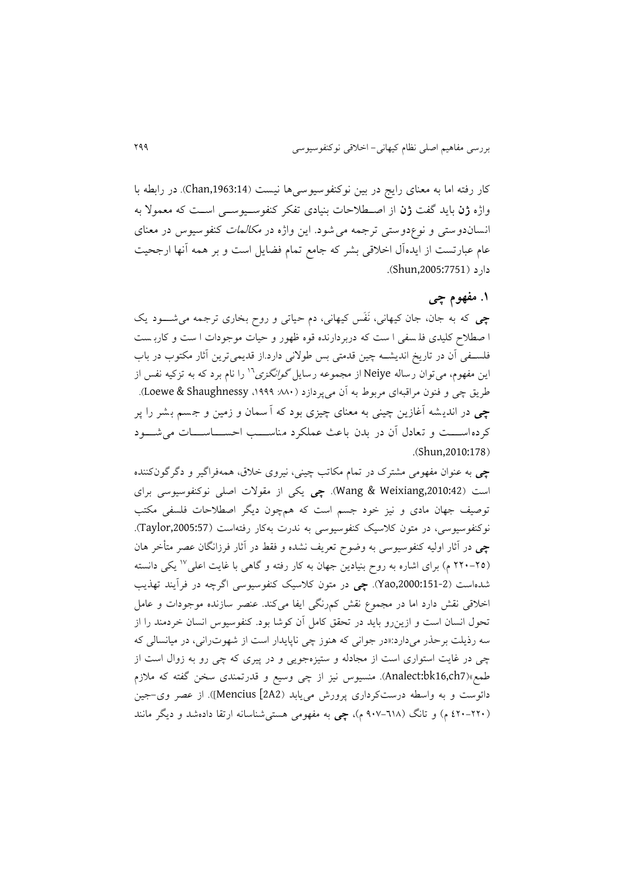کار رفته اما به معنای رايج در بين نوکنفوسيوسی ها نيست (Chan,1963:14). در رابطه با واژه **ژن** بايد گفت **ژن** از اص طالحات بنیادی تفکر کنفوس یوس ی اس ت که معموال به انسان دوستی و نوعدوستی ترجمه می شود. اين واژه در مکالمات کنفوسیوس در معنای عام عبارتست از ايدهآل اخلاقی بشر که جامع تمام فضايل است و بر همه آنها ارجحیت دار د (Shun,2005:7751).

# **.0 مفهوم چی**

**چی** که به جان، جان کیهانی، نَفَس کیهانی، دم حیاتی و روح بخاری ترجمه می ش ود يک ا صطالح کلیدی فل سفی ا ست که دربردارنده قوه ظهور و حیات موجودات ا ست و کارب ست فلسـفی آن در تاريخ انديشــه چين قدمتی بس طولانی دارد.از قديمیترين آثار مکتوب در باب این مفهوم، میتوان رساله Neiye از مجموعه رسایل *گوانگزی'` را نام برد که به تزکیه نفس از* طريق چی و فنون مراقبهای مربو به آن میپردازد ):661 ،3999 Shaughnessy & Loewe). **چی** در اندي شه آغازين چینی به معنای چیزی بود که آ سمان و زمین و ج سم ب شر را پر کرده اســـت و تعادل آن در بدن باعث عملکرد مناســـب احســـاســـات می شـــود .(Shun,2010:178)

**چی** به عنوان مفهومی مشتری در تمام مکاتب چینی، نیروی خالق، همهفراگیر و دگرگونکننده است ),2010:42Weixiang & Wang). **چی** يکی از مقوالت اصلی نوکنفوسیوسی برای توصیف جهان مادی و نیز خود جسم است که همچون ديگر اصطالحات فلسفی مکتب نوکنفوسیوسی، در متون کلاسیک کنفوسیوسی به ندرت بهکار رفتهاست (Taylor,2005:57). **چی** در آثار اولیه کنفوسیوسی به وضوح تعريف نشده و فقط در آثار فرزانگان عصر مت خر هان (۲۵–۲۲۰ م) برای اشاره به روح بنیادین جهان به کار رفته و گاهی با غایت اعلی<sup>۱۷</sup> یکی دانسته شدهاست ),2000:151-2Yao). **چی** در متون کالسیک کنفوسیوسی اگرچه در فرآيند تهذيب اخالقی نقش دارد اما در مجموع نقش کمرنگی ايفا میکند. عنصر سازنده موجودات و عامل تحول انسان است و ازينرو بايد در تحقق کامل آن کوشا بود. کنفوسیوس انسان خردمند را از سه رويلت برحذر میدارد:»در جوانی که هنوز چی ناپايدار است از شهوترانی، در میانسالی که چی در غايت استواری است از مجادله و ستیزهجويی و در پیری که چی رو به زوال است از طمع«)7ch16,bk:Analect). منسیوس نیز از چی وسیع و قدرتمندی سخن گفته که مالزم دائوست و به واسطه درستکرداری پرورش میيابد )2A2 [Mencius)]. از عصر وی-جین )221-221 م( و تانگ )911-236 م(، **چی** به مفهومی هستیشناسانه ارتقا دادهشد و ديگر مانند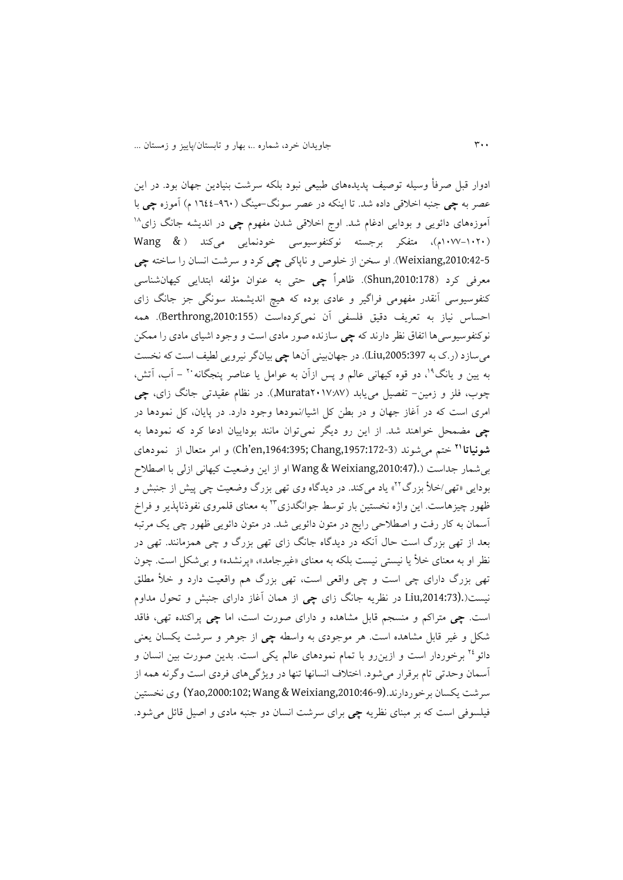ادوار قبل صرفأ وسیله توصیف پدیدههای طبیعی نبود بلکه سرشت بنیادین جهان بود. در این عصر به **چی** جنبه اخالقی داده شد. تا اينکه در عصر سونگ-مینگ )3222-921 م( آموزه **چی** با <sup>36</sup> آموزههای دائويی و بودايی ادغام شد. اوج اخالقی شدن مفهوم **چی** در انديشه جانگ زای )3111-3121م(، متفکر برجسته نوکنفوسیوسی خودنمايی میکند ) & Wang ,2010:42-5Weixiang). او سخن از خلوص و ناپاکی **چی** کرد و سرشت انسان را ساخته **چی** معرفی کرد ),2010:178Shun). ظاهراً **چی** حتی به عنوان مؤلفه ابتدايی کیهانشناسی کنفوسیوسی آنقدر مفهومی فراگیر و عادی بوده که هیچ اندیشمند سونگی جز جانگ زای احساس نیاز به تعریف دقیق فلسفی آن نمیکردهاست (Berthrong,2010:155). همه نوکنفوسیوسیها اتفاق نظر دارند که **چی** سازنده صور مادی است و وجود اشیای مادی را ممکن میسازد )ر.ی به ,2005:397Liu). در جهانبینی آنها **چی** بیانگر نیرويی لطیف است که نخست به پین و یانگ<sup>۱۹</sup>، دو قوه کیهانی عالم و پس ازآن به عوامل یا عناصر پنجگانه <sup>۲</sup>۰ – آب، آتش، چوب، فلز و زمین- تفصیل میيابد )2131:61Murata,). در نظام عقیدتی جانگ زای، **چی** امری است که در آغاز جهان و در بطن کل اشیا/نمودها وجود دارد. در پايان، کل نمودها در چی مضمحل خواهند شد. از اين رو ديگر نمی توان مانند بوداييان ادعا کرد که نمودها به ختم میشوند ),1957:172-3Chang; ,1964:395en'Ch )و امر متعال از نمودهای **<sup>10</sup> شونیاتا** بیشمار جداست ).(,2010:47Weixiang & Wang او از اين وضعیت کیهانی ازلی با اصطالح بودایی «تهی/خلأ بزرگ<sup>۲</sup>آ» یاد میکند. در دیدگاه وی تهی بزرگ وضعیت چی پیش از جنبش و ظهور چیزهاست. این واژه نخستین بار توسط جوانگدزی ٌ'' به معنای قلمروی نفوذناپذیر و فراخ آسمان به کار رفت و اصطالحی رايج در متون دائويی شد. در متون دائويی ظهور چی يک مرتبه بعد از تهی بزرگ است حال آنکه در ديدگاه جانگ زای تهی بزرگ و چی همزمانند. تهی در نظر او به معنای خلأ يا نيستی نيست بلکه به معنای «غیر جامد»، «پرنشده» و بی شکل است. چون تهی بزرگ دارای چی است و چی واقعی است، تهی بزرگ هم واقعیت دارد و خأل مطلق نیست).(,2014:73Liu در نظريه جانگ زای **چی** از همان آغاز دارای جنبش و تحول مداوم است. **چی** متراکم و منسجم قابل مشاهده و دارای صورت است، اما **چی** پراکنده تهی، فاقد شکل و غیر قابل مشاهده است. هر موجودی به واسطه **چی** از جوهر و سرشت يکسان يعنی دائو<sup>۲٤</sup> برخوردار است و ازين٫و با تمام نمودهای عالم يکی است. بدين صورت بين انسان و آسمان وحدتی تام برقرار میشود. اختالف انسانها تنها در ويژگیهای فردی است وگرنه همه از سرشت يکسان برخوردارند.(,2010:46-9Weixiang & Wang; ,2000:102Yao (وی نخستین فیلسوفی است که بر مبنای نظريه **چی** برای سرشت انسان دو جنبه مادی و اصیل قائل میشود.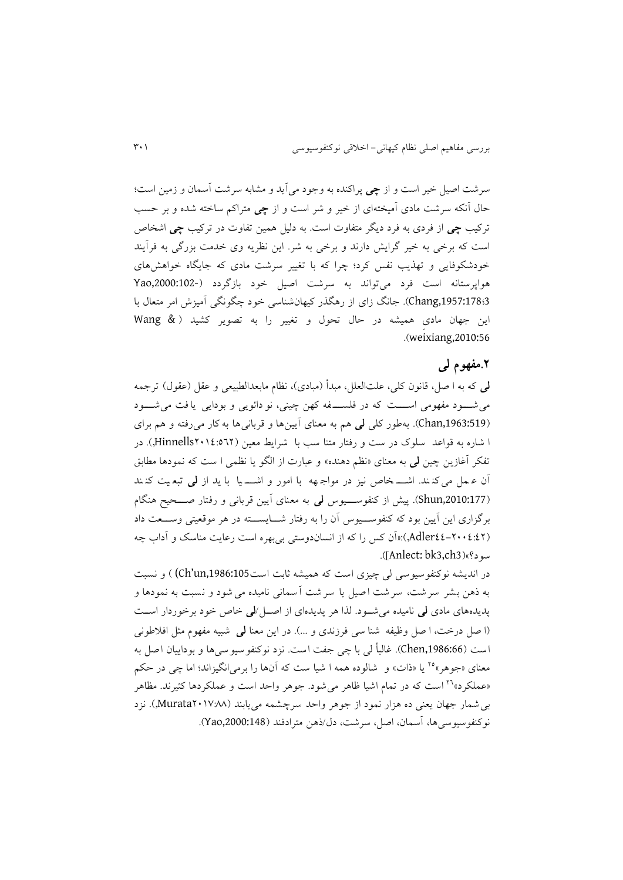سرشت اصیل خیر است و از **چی** پراکنده به وجود میآيد و مشابه سرشت آسمان و زمین است؛ حال آنکه سرشت مادی آمیختهای از خیر و شر است و از **چی** متراکم ساخته شده و بر حسب ترکیب **چی** از فردی به فرد ديگر متفاوت است. به دلیل همین تفاوت در ترکیب **چی** اشخاص است که برخی به خیر گرايش دارند و برخی به شر. اين نظريه وی خدمت بزرگی به فرآيند خودشکوفايی و تهذيب نفس کرد؛ چرا که با تغییر سرشت مادی که جايگاه خواهشهای هواپرستانه است فرد میتواند به سرشت اصیل خود بازگردد ),2000:102-Yao 3؛,1957:178Chang). جانگ زای از رهگذر کیهانشناسی خود چگونگی آمیزش امر متعال با اين جهان مادیِ همیشه در حال تحول و تغییر را به تصوير کشید ) & Wang .)weixiang,2010:56

## **.1مفهوم لی**

**لی** که به ا صل، قانون کلی ، علتالعلل، مبدأ )مبادی(، نظام مابعدالطبیعی و عقل )عقول( ترجمه می شـود مفهومی اســــت که در فلســـفه کهن چینی، نو دائویی و بودایی یافت می شـــود ),1963:519Chan). به طور کلی **لی** هم به معنای آيین ها و قربانی ها به کار می رفته و هم برای ا شاره به قواعد سلوک در ست و رفتار متنا سب با شرایط معین (12°21'18'Hinnells,). در تفکر آغازين چین **لی** به معنای »نظم دهنده« و عبارت از الگو يا نظمی ا ست که نمودها مطابق آن ع مل می کن ند. اش خاص نیز در مواج هه با امور و اش یا با يد از **لی** تبع یت کن ند ),2010:177Shun). پیش از کنفوس یوس **لی** به معنای آيین قربانی و رفتار ص حین هنگام برگزاری اين آيين بود که کنفوســـيوس آن را به رفتار شـــايســـته در هر موقعيتی وســـعت داد )22-2112:22Adler,):«آن کس را که از انساندوستی بیبهره است رعايت مناسک و آداب چه .)]Anlect: bk3,ch3(»سود؟

در انديشه نوکنفوسيوسی لي چيزی است که هميشه ثابت است06:1986:105) ) و نسبت به وهن بشر سرشت، سرشت اصیل يا سرشت آسمانی نامیده می شود و نسبت به نمودها و پديدههای مادی **لی** نامیده میش ود. لذا هر پديدهای از اص ل/**لی** خاص خود برخوردار اس ت )ا صل درخت، ا صل وظیفه شنا سی فرزندی و ...( . در اين معنا **لی** شبیه مفهوم مثل افالطونی است (Chen,1986:66). غالباً لی با چی جفت است. نزد نوکنفوسیوسی ها و بودايیان اصل به معنای «جوهر»°٬ یا «ذات» و شالوده همه ا شیا ست که آنها را برمی|نگیزاند؛ اما چی در حکم »عملکرد« است که در تمام اشیا ظاهر می شود. جوهر واحد است و عملکردها کثیرند. مظاهر <sup>22</sup> بیشمار جهان يعنی ده هزار نمود از جوهر واحد سرچشمه می يابند )2131:66Murata,). نزد نوکنفوسیوسیها، آسمان، اصل، سرشت، دل/وهن مترادفند ),2000:148Yao).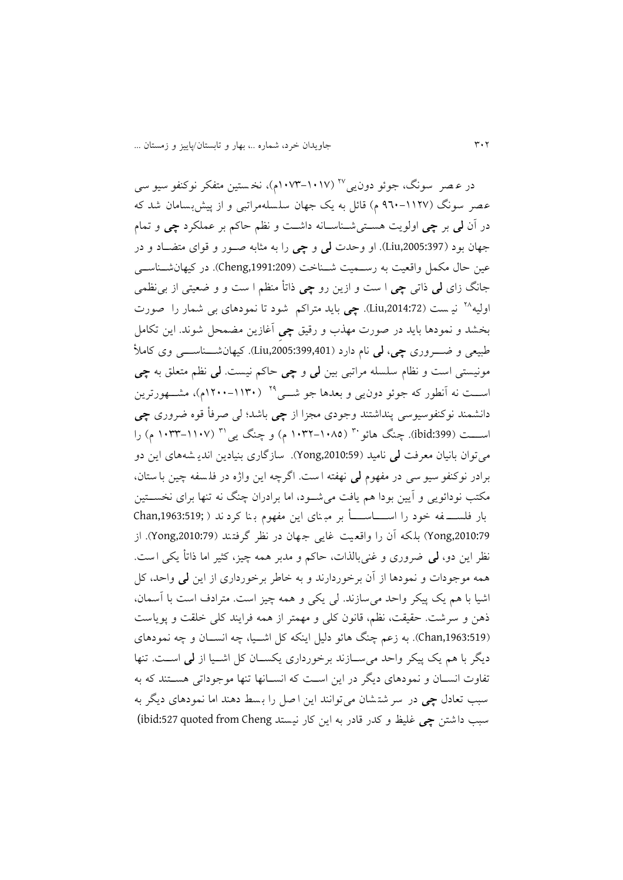در عـصر سونگ، جوئو دون یی''' (۱۰۱۷–۱۰۷۳م)، نخـستین متفکر نوکنفو سیو سی عصر سونگ (۱۱۲۷-۹٦۰ م) قائل به يک جهان سلسلهمراتبی و از پیش بسامان شد که در آن **لی** بر **چی** اولويت هس تیش ناس انه داش ت و نظم حاکم بر عملکرد **چی** و تمام جهان بود (1397:3005:397). او وحدت **لمی** و چی را به مثابه صـور و قوای متضـاد و در عین حال مکمل واقعیت به رسـمیت شــناخت (Cheng,1991:209). در کیهانشــناســی جانگ زای **لی** واتی **چی** ا ست و ازين رو **چی** وات منظم ا ست و و ضعیتی از بی نظمی نی ست ),2014:72Liu). **چی** بايد متراکم شود تا نمو دهای بی شمار را صورت <sup>26</sup> اولیه بخشد و نمودها بايد در صورت مهذب و رقیق **چیِ** آغازين م محل شوند. اين تکامل طبیعی و ض روری **چی**، **لی** نام دارد ),2005:399,401Liu). کیهانش ناس ی وی کامأل مونیستی است و نظام سلسله مراتبی بین **لی** و **چی** حاکم نیست. **لی** نظم متعلق به **چی** اســت نه آنطور که جوئو دون یی و بعدها جو شـــی<sup>۲۹</sup> (۱۱۳۰-۱۲۰۰م)، مشـــهورترین دانشمند نوکنف وسیوسی پنداشتند وجودی مجزا از **چی** باشد؛ لی صرف قوه ضروری **چی** اســــت (ibid:399). چنگ هائو با (۱۰۸۵–۱۰۳۲ م) و چنگ یی'' (۱۱۰۷–۱۰۳۳ م) را می توان بانیان معرفت **لی** نامید (2010:59). سازگاری بنیادین اندی<sub>ش</sub>ههای این دو برادر نوکنفو سیو سی در مفهوم **لی** نهفته ا ست. اگرچه اين واژه در فل سفه چین با ستان، مکتب نودائويی و آيین بودا هم يافت میش ود، اما برادران چنگ نه تنها برای نخس تین بار فلســــــفه خود را اســـــــاســــــأ بر مبـنای اين مفهوم بـنا کرد ند ( ;Chan,1963:519 ,2010:79Yong )بل ک ه آن را واقع یت غايی جهان در نظر گرفت ند ),2010:79Yong). از نظر اين دو، **لبی** ضروری و غنی بالذات، حاکم و مدبر همه چيز، کثير اما ذاتأ يکي است. همه موجودات و نمودها از آن برخوردارند و به خاطر برخورداری از اين **لی** واحد، کل اشیا با هم يک پیکر واحد می سازند. لی يکی و همه چیز است. مترادف است با آسمان، وهن و سرشت. حقیقت، نظم، قانون کلی و مهمتر از همه فرايند کلی خلقت و پوياست ),1963:519Chan). به زعم چنگ هائو دلیل اينکه کل اش یا، چه انس ان و چه نمودهای ديگر با هم يک پیکر واحد میس ازند برخورداری يکس ان کل اش یا از **لی** اس ت. تنها تفاوت انسـان و نمودهای ديگر در اين اسـت که انسـانها تنها موجوداتی هسـتند که به سبب تعادل **چی** در سر شت شان می توانند اين ا صل را ب سط دهند اما نمودهای ديگر به سبب داشتن **چی** غلیظ و کدر قادر به اين کار نیستد Cheng from quoted :527ibid(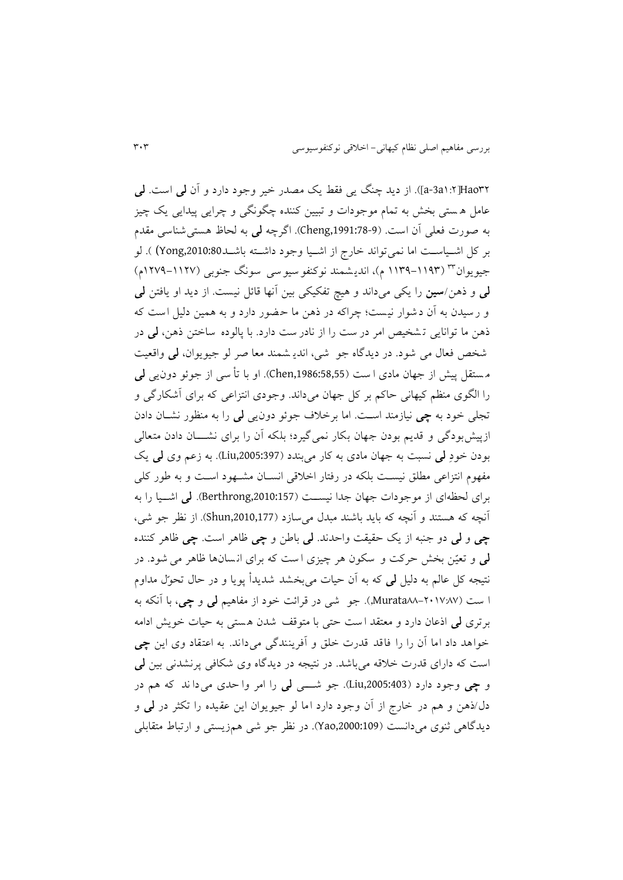22Hao[3:2a-3a)]. از ديد چنگ يی فقط يک مصدر خیر وجود دارد و آن **لی** است. **لی** عامل ه ستی بخش به تمام موجودات و تبیین کننده چگونگی و چرايی پیدايی يک چیز به صورت فعلی آن است. ),1991:78-9Cheng). اگرچه **لی** به لحاظ هستی شناسی مقدم بر کل اشـياسـت اما نمي تواند خارج از اشـيا وجود داشـته باشــد2010:80x0) ). لو جیویوان™ (۱۱۹۳–۱۱۳۹ م)، اندیشمند نوکنفو سیو سی سونگ جنوبی (۱۱۲۷–۱۲۷۹م) **لی** و وهن/**سین** را يکی میداند و هی تفکیکی بین آنها قائل نیست. از ديد او يافتن **لی** و رسیدن به آن دشوار نیست؛ چراکه در ذهن ما حضور دارد و به همین دلیل است که وهن ما توانايی ت شخیص امر در ست را از نادر ست دارد. با پالوده ساختن وهن، **لی** در شخص فعال می شود. در ديدگاه جو شی، اندي شمند معا صر لو جیو يوان، **لی** واقعیت م ستقل پیش از جهان مادی ا ست ),1986:58,55Chen). او با ت سی از جوئو دون يی **لی** را الگوی منظم کیهانی حاکم بر کل جهان میداند. وجودی انتزاعی که برای آشکارگی و تجل<sub>ی</sub> خود به چی نیازمند است. اما برخلاف جوئو دون**یی لی** را به منظور نشــان دادن ازپیشبودگی و قدیم بودن جهان بکار نمی گیرد؛ بلکه آن را برای نشـــان دادن متعالی بودن خودِ **لی** نسبت به جهان مادی به کار میبندد ),2005:397Liu). به زعم وی **لی** يک مفهوم انتزاعی مطلق نیست بلکه در رفتار اخلاقی انسـان مشـهود اسـت و به طور کلی برای لحظهای از موجودات جهان جدا نیس ت ),2010:157Berthrong). **لی** اش یا را به آنچه که هستند و آنچه که بايد باشند مبدل می سازد (Shun,2010,177). از نظر جو شی، **چی** و **لی** دو جنبه از يک حقیقت واحدند. **لی** باطن و **چی** ظاهر است. **چی** ظاهر کننده **لی** و تعیّن بخش حرکت و سکون هر چیزی ا ست که برای ان سان ها ظاهر می شود. در نتیجه کل عالم به دلیل **لی** که به آن حیات میبخشد شديدأ پويا و در حال تحوّل مداوم ا ست )66-2131:61Murata,). جو شی در قرائت خود از مفاهیم **لی** و **چی**، با آنکه به برتری **لی** اوعان دارد و معتقد ا ست حتی با متوقف شدن ه ستی به حیات خويش ادامه خواهد داد اما آن را را فاقد قدرت خلق و آفرينندگی می داند. به اعتقاد وی اين **چی** است که دارای قدرت خالقه می باشد. در نتیجه در ديدگاه وی شکافی پرنشدنی بین **لی** و **چی** وجود دارد ),2005:403Liu). جو ش ی **لی** را امر وا حدی می دا ند که هم در دل/وهن و هم در خارج از آن وجود دارد اما لو جیو يوان اين عقیده را تکثر در **لی** و ديدگاهی ثنوی میدانست (109:2000:109). در نظر جو شی همزيستی و ارتباط متقابلی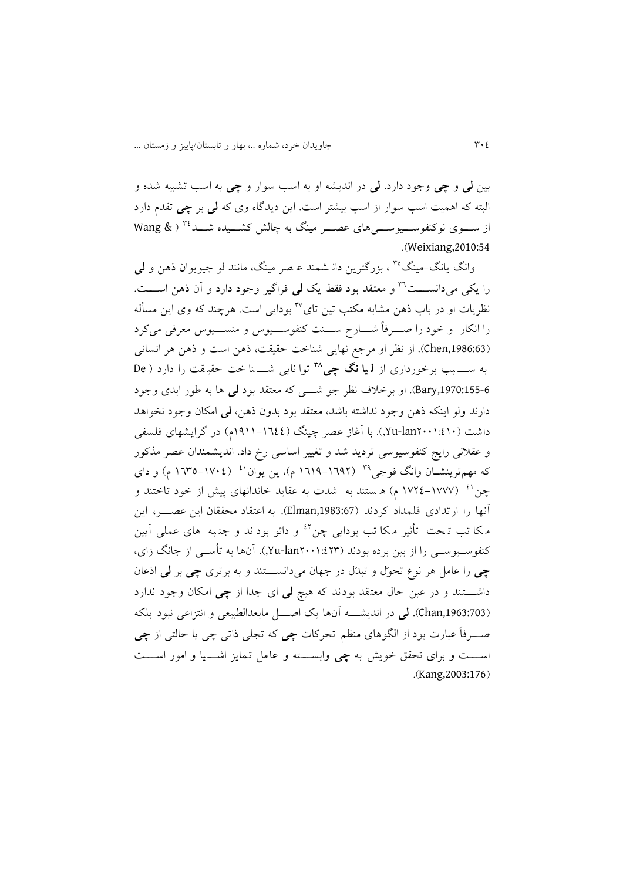بین **لی** و **چی** وجود دارد. **لی** در انديشه او به اسب سوار و **چی** به اسب تشبیه شده و البته که اهمیت اسب سوار از اسب بیشتر است. اين ديدگاه وی که **لی** بر **چی** تقدم دارد از ســـوی نوکنفوســـیوســـی های عصـــر مینگ به چالش کشـــیده شـــد<sup>۳٤</sup> ( Wang & .)Weixiang,2010:54

وانگ یانگ-مینگ°<sup>۳</sup> ، بزرگترین دان شمند عـصر مینگ، مانند لو جیویوان ذهن و **لب**ی را يکي مي<انســــت<sup>٢٦</sup> و معتقد بود فقط يک **لي** فراگير وجود دارد و آن ذهن اســــت. نظريات او در باب ذهن مشابه مکتب تين تای<sup>۳۷</sup> بودايی است. هرچند که وی اين مسأله را انکار و خود را صـــرفاً شــــارح ســــنت کنفوســــیوس و منســــیوس معرفی میکرد (1986:63). از نظر او مرجع نهايی شناخت حقیقت، ذهن است و ذهن هر انسانی توا نايی ش نا خت حقی قت را دارد ) De **<sup>48</sup>** به س بب برخورداری از **ل یا نگ چی**  ,1970:155-6Bary). او برخالف نظر جو ش ی که معتقد بود **لی** ها به طور ابدی وجود دارند ولو اينکه وهن وجود نداشته باشد، معتقد بود بدون وهن، **لی** امکان وجود نخواهد داشت )2113:231lan-Yu,). با آغاز عصر چینگ )3933-3222م( در گرايشهای فلسفی و عقالنی رايج کنفوسیوسی ترديد شد و تغییر اساسی رخ داد. انديشمندان عص ر مذکور که مهمترينشــان وانگ فوجی<sup>۳۹</sup> (۱۹۹۲–۱۹۱۹ م)، ين يوان<sup>۶۰</sup> (١٧٠٤–۱**٦**۳۵ م) و دای چن<sup>۱٬ (</sup> ۱۷۷۷–۱۷۲٤ م) ه ستند به شدت به عقاید خاندانهای پیش از خود تاختند و آنها را ارتدادی قلمداد کردند ),1983:67Elman). به اعتقاد محققان اين عص ر ، اين مکا تب تہحت تأثیر مکا تب بودایی چن<sup>٤٢</sup> و دائو بود ند و جنہه های عملی آيين کنفوسسیوسسی را از بین برده بودند (۱:٤٢٣-۲u-lan۲۰۰۱). آنها به تأسسی از جانگ زای، **چی** را عامل هر نوع ت حوّل و تبدّل در جهان می دانس تند و به برتری **چی** بر **لی** اوعان داش تند و در عین حال معتقد بودند که هی **لی** ای جدا از **چی** امکان وجود ندارد ),1963:703Chan). **لی** در انديش ه آنها يک اص ل مابعدالطبیعی و انتزاعی نبود بلکه ص رفاً عبارت بود از الگوهای منظم تحرکات **چی** که تجلی واتی چی يا حالتی از **چی** اس ت و برای تحقق خويش به **چی** وابس ته و عامل تمايز اش یا و امور اس ت .(Kang,2003:176)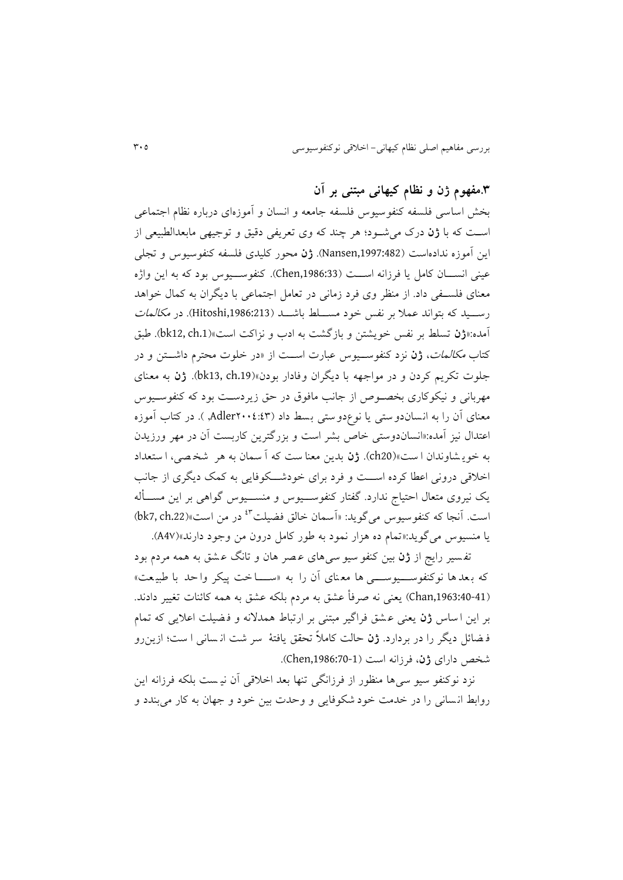# **.4مفهوم ژن و نظام کیهانی مبتنی بر آن**

بخش اساسی فلسفه کنفوسیوس فلسفه جامعه و انسان و آموزهای درباره نظام اجتماعی است که با **ژن** درک می شود؛ هر چند که وی تعریفی دقیق و توجیهی مابعدالطبیعی از اين آموزه ندادهاست ),1997:482Nansen). **ژن** محور کلیدی فلسفه کنفوسیوس و تجلی عینی انسان کامل يا فرزانه است (Chen,1986:33). کنفوسسيوس بود که به اين واژه معنای فلس فی داد. از منظر وی فرد زمانی در تعامل اجتماعی با ديگران به کمال خواهد رســيد که بتواند عملا بر نفس خود مســلط باشـــد (Hitoshi,1986:213). در *مکالمات* آمده:»**ژن** تسلط بر نفس خويشتن و بازگشت به ادب و نزاکت است«).1ch 12,bk). طبق کتاب مکالمات، **ژن** نزد کنفوس یوس عبارت اس ت از »در خلوت محترم داش تن و در جلوت تکريم کردن و در مواجهه با د يگران وفادار بودن «).19ch 13,bk). **ژن** به معنای مهربانی و نیکوکاری بخصوص از جانب مافوق در حق زیردست بود که کنفوسـیوس معنای آن را به انسان دوستی يا نوع دوستی بسط داد )2112:22Adler,) . در کتاب آموزه اعتدال نیز آمده:»انسان دوستی خاص بشر است و بزرگترين کاربست آن در مهر ورزيدن به خوي شاوندان ا ست «)20ch). **ژن** بدين معنا ست که آ سمان به هر شخ صی، ا ستعداد اخالقی درونی اعطا کرده اس ت و فرد برای خودش کوفايی به کمک ديگری از جانب يک نیروی متعال احتیاج ندارد. گفتار کنفوس یوس و منس یوس گواهی بر اين مس له است. آنجا که کنفوسیوس میگوید: «اَسمان خالق فضیلت<sup>8۳</sup> در من است»(bk7, ch.22) يا منسیوس میگويد:»تمام ده هزار نمود به طور کامل درون من وجود دارند«)41A).

تف سیر رايج از **ژن** بین کنفو سیو سی های ع صر هان و تانگ ع شق به همه مردم بود که بعدها نوکنفوســـیوســـی ها معنای آن را به «ســـاخت پیکر واحد با طبیعت» (40-41:Chan,1963) يعنی نه صرفاً عشق به مردم بلکه عشق به همه کائنات تغییر دادند. بر اين ا ساس **ژن** يعنی عـشق فراگير مبتنی بر ارتباط همدلانه و فـضيلت اعلايی که تمام ف ائل ديگر را در بردارد. **ژن** حالت کامالً تحقق يافتة سر شت ان سانی ا ست؛ ازين رو شخص دارای **ژن**، فرزانه است ),1986:70-1Chen).

نزد نوکنفو سیو سی ها منظور از فرزانگی تنها بعد اخالقی آن نی ست بلکه فرزانه اين روابط ان سانی را در خدمت خود شکوفايی و وحدت بین خود و جهان به کار می بندد و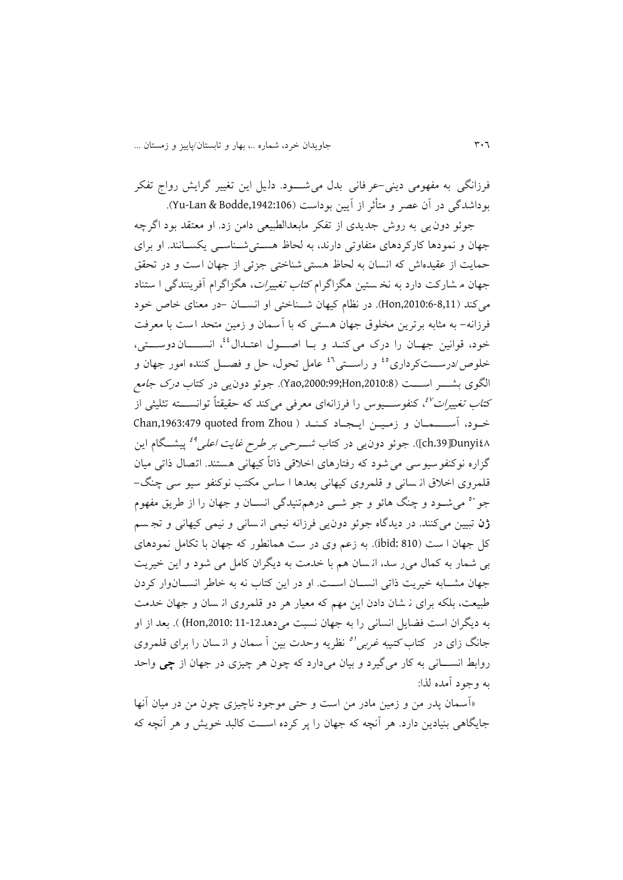فرزانگی به مفهومی دينی-عر فانی بدل می شـود. دليل اين تغيير گرايش رواج تفکر بوداشدگی در آن عصر و متأثر از آيين بوداست (Yu-Lan & Bodde,1942:106).

جوئو دونيی به روش جديدی از تفکر مابعدالطبیعی دامن زد. او معتقد بود اگرچه جهان و نمودها کارکردهای متفاوتی دارند، به لحاظ هستی شناسی یکسانند. او برای حمايت از عقیدهاش که انسان به لحاظ هستی شناختی جزئی از جهان است و در تحقق جهان م شارکت دارد به نخ ستین هگزاگرام *کتاب تغییرات*، هگزاگرام آفرینندگی ا ستناد میکند ),2010:6-8,11Hon). در نظام کیهان ش ناختی او انس ان -در معنای خاص خود فرزانه- به مثابه برترين مخلوق جهان هستی که با آسمان و زمین متحد است با معرفت خود. قوانین جهـان را درک میکنـد و بــا اصــــول اعتــدال<sup>،٤</sup>، انســـــان دوســــتی، خلوص/درســتکرداری°ٔ و راســتی<sup>۶۰</sup> عامل تحول، حل و فصــل کننده امور جهان و الگوی بشـــر اســــت (Hao,2000:99;Hon,2010:8). جوئو دون پی در کتاب *درک جامع* کت*اب تغییرات<sup>8</sup>ٌ،* کنفوســـیوس را فرزانهای معرفی میکند که حقیقتاً توانســـته تثلیثی از خود، آسسهان و زمین ایجاد کند ( Chan,1963:479 quoted from Zhou ch.39JDunyi٤۸]). جوئو دون یی در کتاب *شـــرحی بر طرح غایت اعلی<sup>4</sup>'* پیشــگام این گزاره نوکنفوسیوسی می شود که رفتارهای اخالقی واتاً کیهانی هستند. اتصال واتی میان قلمروی اخلاق ان سانی و قلمروی کیهانی بعدها ا ساس مکتب نوکنفو سیو سی چنگ– جو`` میشــود و چنگ هائو و جو شــی درهم¤نیدگی انســان و جهان را از طریق مفهوم **ژن** تبیین میکنند. در ديدگاه جوئو دونيی فرزانه نیمی ان سانی و نیمی کیهانی و تج سم کل جهان ا ست )810 :ibid). به زعم وی در ست همانطور که جهان با تکامل نمودهای بی شمار به کمال می ر سد، ان سان هم با خدمت به ديگران کامل می شود و اين خیريت جهان مشـابه خیریت ذاتی انســان اســت. او در این کتاب نه به خاطر انســانوار کردن طبیعت، بلکه برای ن شان دادن اين مهم که معیار هر دو قلمروی از سان و جهان خدمت به ديگران است فضايل انسانی را به جهان نسبت می دهد12-11 :Hon,2010) ). بعد از او جانگ زای در کتاب *کتیبه غربی<sup>'ه</sup> ن*ظریه وحدت بین اً سمان و ان<sub>ـ</sub>سان را برای قلمروی روابط انس انی به کار میگیرد و بیان میدارد که چون هر چیزی در جهان از **چی** واحد به وجود آمده لذا:

«آسمان پدر من و زمین مادر من است و حتی موجود ناچیزی چون من در میان آنها جايگاهی بنيادين دارد. هر آنچه که جهان را پر کرده اســت کالبد خويش و هر آنچه که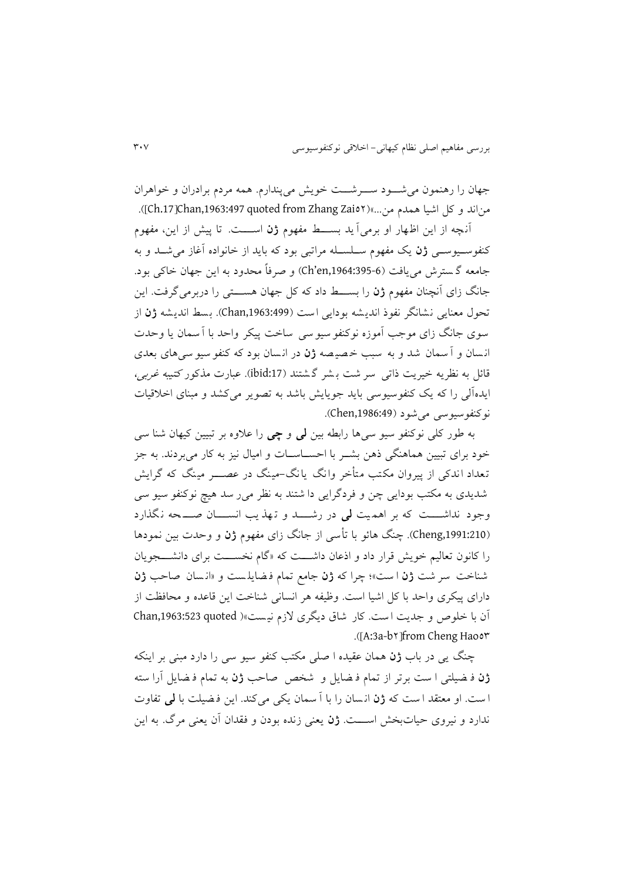جهان را رهنمون می شود سوشت خويش می پندارم. همه مردم برادران و خواهران مناند و کل اشیا همدم من...»(22io۲). (Ch.17]Chan,1963:497 quoted from Zhang Zai

آن ه از اين اظهار او برمی آ يد بس ط مفهوم **ژن** اس ت. تا پیش از اين، مفهوم کنفوســيوســي **ژن** يک مفهوم ســلســله مراتبي بود که بايد از خانواده آغاز میشــد و به جامعه گ سترش می يافت ),1964:395-6en'Ch )و صرفاً محدود به اين جهان خاکی بود. جانگ زای آنچنان مفهوم **ژن** را بســــط داد که کل جهان هســــتی را دربرمی گرفت. اين تحول معنايی نشانگر نفوو انديشه بودايی است ),1963:499Chan). بسط انديشه **ژن** از سوی جانگ زای موجب آموزه نوکنفو سیو سی ساخت پیکر واحد با آ سمان یا وحدت ان سان و آ سمان شد و به سبب خ صی صه **ژن** در ان س ان بود که کنفو سیو سی های بعدی قائل به نظريه خیريت ذاتی سر شت بـشر گـشتند (ibid:17). عبارت مذکور کتیبه *غربی،* ايدهآلی را که يک کنفوسیوسی بايد جويايش باشد به تصوير می کشد و مبنای اخالقیات نوکنفوسیوسی می شود (Chen,1986:49).

به طور کلی نوکنفو سیو سی ها رابطه بین **لی** و **چی** را عالوه بر تبیین کیهان شنا سی خود برای تبیین هماهنگی ذهن بشـر با احســاســات و امیال نیز به کار می,بردند. به جز تعداد اندکی از پیروان مکتب متأخر وانگ یانگ-مینگ در عصــــر مینگ که گرایش شديدی به مکتب بودايی چن و فردگرايی دا شتند به نظر می ر سد هیچ نوکنفو سیو سی وجود نداش ت که بر اهم یت **لی** در رش د و ت هذ يب انس ان ص حه ن گذارد (Cheng,1991:210). چنگ هائو با تأس<sub>ی</sub> از جانگ زای مفهوم **ژن** و وحدت بین نمودها را کانون تعاليم خويش قرار داد و اذعان داشـــت که «گام نخســـت برای دانشـــجويان شناخت سر شت **ژن** ا ست «؛ چرا که **ژن** جامع تمام ف ايل ست و »ان سان صاحب **ژن** دارای پیکری واحد با کل اشیا است. وظیفه هر انسانی شناخت اين قاعده و محافظت از آن با خلوص و جديت است. کار شاق ديگری لازم نيست»( Chan,1963:523 quoted .)]A:3a-b2[from Cheng Hao22

چنگ يی در باب **ژن** همان عقیده ا صلی مکتب کنف و سیو سی را دارد مبنی بر اينکه **ژن** ف یلتی ا ست برتر از تمام ف ايل و شخص صاحب **ژن** به تمام ف ايل آرا سته ا ست. او معتقد ا ست که **ژن** ان سان را با آ سمان يکی می کند. اين ف یلت با **لی** تفاوت ندارد و نیروی حیات بخش اس ت. **ژن** يعنی زنده بودن و فقدان آن يعنی مرگ. به اين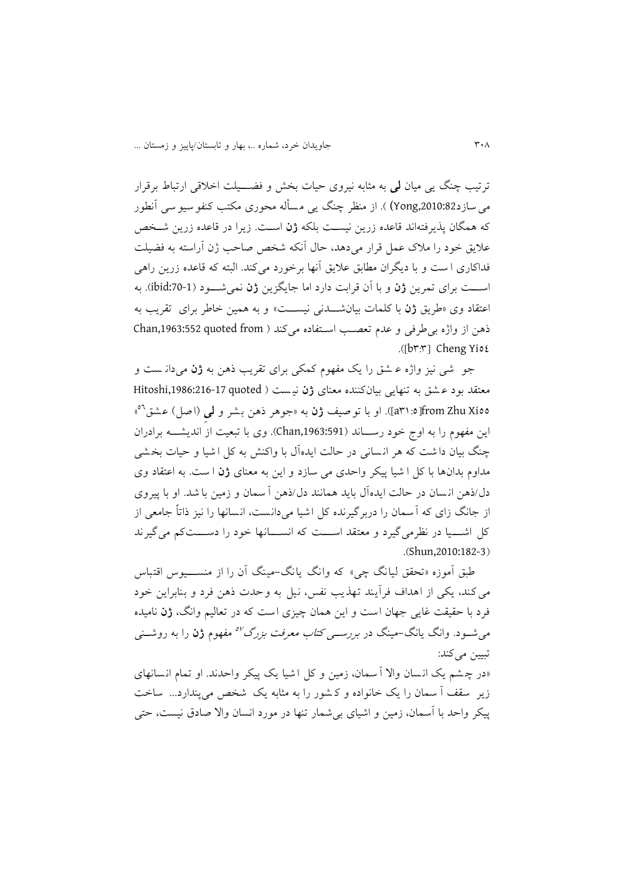ترتیب چنگ یی میان **لی** به مثابه نیروی حیات بخش و فضـــیلت اخلاقی ارتباط برقرار می سازد32:Yong)2010) ). از منظر چنگ يی مسأله محوری مکتب کنفو سیو سی آنطور که همگان پذيرفتهاند قاعده زرين نيسـت بلکه **ژن** اسـت. زيرا در قاعده زرين شـخص علایق خود را ملاک عمل قرار می دهد، حال آنکه شخص صاحب ژن آراسته به فضیلت فداکاری ا ست و با ديگران مطابق عاليق آنها برخورد می کند. البته که قاعده زرين راهی اس ت برای تمرين **ژن** و با آن قرابت دارد اما جايگزين **ژن** نمیش ود ):70-1ibid). به اعتقاد وی »طريق **ژن** با کلمات بیانش دنی نیس ت « و به همین خاطر برای تقريب به ذهن از واژه بی طرفی و عدم تعصب استفاده می کند ( Chan,1963:552 quoted from .([br:r] Cheng Yio{

جو شی نیز واژه ع شق را يک مفهوم کمکی برای تقريب وهن به **ژن** میدان ست و معتقد بود ع شق به تنهايی بیان کننده معنای **ژن** نی ست ) quoted ,1986:216-17Hitoshi « <sup>22</sup> 22Xi Zhu from[23:2a)]. او با توصیف **ژن** به »جوهر وهن بشر و **لیِ** )اصل( عشق اين مفهوم را به اوج خود رســـاند (Chan,1963:591). وی با تبعیت از انديشــــه برادران چنگ بیان دا شت که هر ان سانی در حالت ايده آل با واکنش به کل ا شیا و حیات بخ شی مداوم بدانها با کل ا شیا پیکر واحدی می سازد و اين به معنای **ژن** ا ست. به اعتقاد وی دل/وهن ان سان در حالت ايده آل بايد همانند دل/وهن آ سمان و زمین با شد. او با پیروی از جانگ زای که آسمان را دربرگیرنده کل اشیا می دانست، انسانها را نیز واتاً جامعی از کل اشـــیا در نظرمی گیرد و معتقد اســـت که انســـانها خود را دســـتکم می گیرند .(Shun,2010:182-3)

طبق آموزه »تحقق لیانگ چی « که وانگ يانگ -مینگ آن را از منس یوس اقتباس میکند، يکی از اهداف فرآيند تهذيب نفس، نیل به وحدت وهن فرد و بنابراين خود فرد با حقیقت غايی جهان است و اين همان چیزی است که در تعالیم وانگ، **ژن** نامیده میشــود. وانگ یانگ–مینگ در *بررســی کتاب معرفت بزرگ<sup>07</sup> مف*هوم **ژن** را به روشــنی تبیین می کند: «در چشم يک انسان والا آ سمان، زمين و کل اشيا يک پيکر واحدند. او تمام انسانهای زير سقف آ سمان را يک خانواده و ک شور را به مثابه يک شخص می پندارد... ساخت

پیکر واحد با آسمان، زمین و اشیای بیشمار تنها در مورد انسان واال صادق نیست، حتی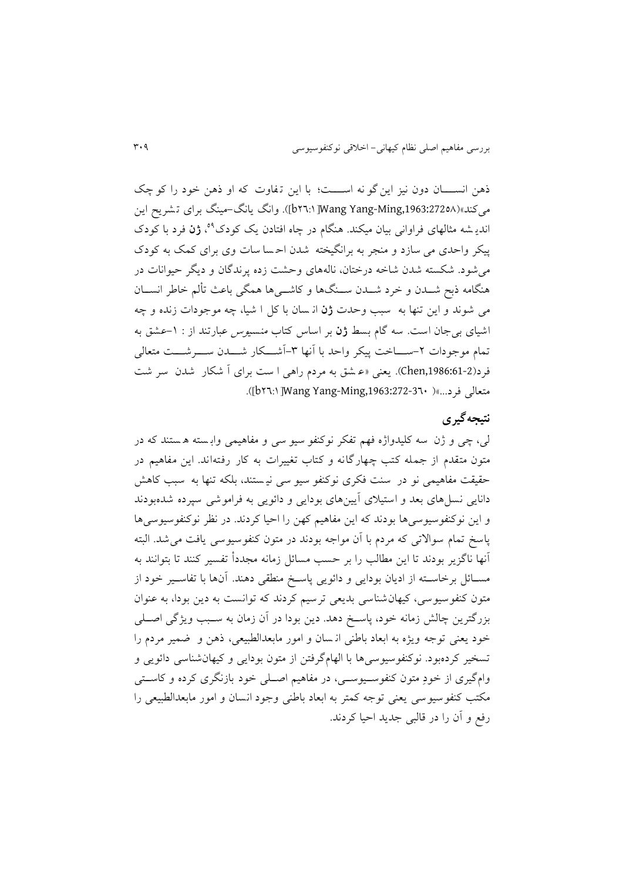ذهن انســـان دون نیز این گو نه اســــت؛ با این تفاوت که او ذهن خود را کو چک میکند«),1963:27226Ming-Yang Wang[22:3b)]. وانگ يانگ-مینگ برای ت شرين اين انديـ شه مثالهای فراوانی بیان میکند. هنگام در چاه افتادن يک کودک<sup>۵۹</sup>، **ژن** فرد با کودک پیکر واحدی می سازد و منجر به برانگیخته شدن احسا سات وی برای کمک به کودک میشود. شکسته شدن شاخه درختان، نالههای وحشت زده پرندگان و ديگر حیوانات در هنگامه ذبح شــدن و خرد شــدن ســنگـها و کاشـــیها همگی باعث تألم خاطر انســان می شوند و اين تنها به سبب وحدت **ژن** ان سان با کل ا شیا، چه موجودات زن ده و چه اشیای ب<sub>ی</sub>جان است. سه گام بسط **ژن** بر اساس کتاب *منسیوس* عبارتند از : ۱-عشق به تمام موجودات ۲-ســــاخت پیکر واحد با آنها ۳-آشـــکار شــــدن ســـــرشــــت متعالی فرد),1986:61-2Chen). يعنی »ع شق به مردم راهی ا ست برای آ شکار شدن سر شت .)]b22:3[Wang Yang-Ming,1963:272-321 (»...فرد متعالی

## **نتیجهگیری**

لی، چی و ژن سه کلیدواژه فهم تفکر نوکنفو سیو سی و مفاهیمی واب سته ه ستن د که در متون متقدم از جمله کتب چهارگانه و کتاب تغییرات به کار رفته اند. اين مفاهیم در حقیقت مفاهیمی نو در سنت فکری نوکنفو سیو سی نیستند، بلکه تنها به سبب کاهش دانايی نسل های بعد و استیالی آيین های بودايی و دائويی به فراموشی سپرده شده بودند و اين نوکنفوسیوسیها بودند که اين مفاهیم کهن را احیا کردند. در نظر نوکنفوسیوسیها پاسخ تمام سوالاتی که مردم با آن مواجه بودند در متون کنفوسیوسی یافت می شد. البته آنها ناگزير بودند تا اين مطالب را بر حسب مسائل زمانه مجددأ تفس یر کنند تا بتوانند به مسائل برخاسته از اديان بودايی و دائويی پاسخ منطقی دهند. آنها با تفاسير خود از متون کنفوسیوسی، کیهان شناسی بدیعی ترسیم کردند که توانست به دین بودا، به عنوان بزرگترين چالش زمانه خود، پاسخ دهد. دين بودا در آن زمان به سـبب ويژگي اصـلي خود يعنی توجه ويژه به ابعاد باطنی ان سان و امور مابعدالطبيعی، ذهن و ضمیر مردم را تسخیر کردهبود. نوکنفوسیوسی ها با الهامگرفتن از متون بودایی و کیهانشناسی دائویی و وامگیری از خودِ متون کنفوسـیوسـی، در مفاهیم اصـلی خود بازنگری کرده و کاسـتی مکتب کنفو سیوسی یعنی توجه کمتر به ابعاد باطنی وجود انسان و امور مابعدالطبیعی را رفع و آن را در قالبی جديد احیا کردند.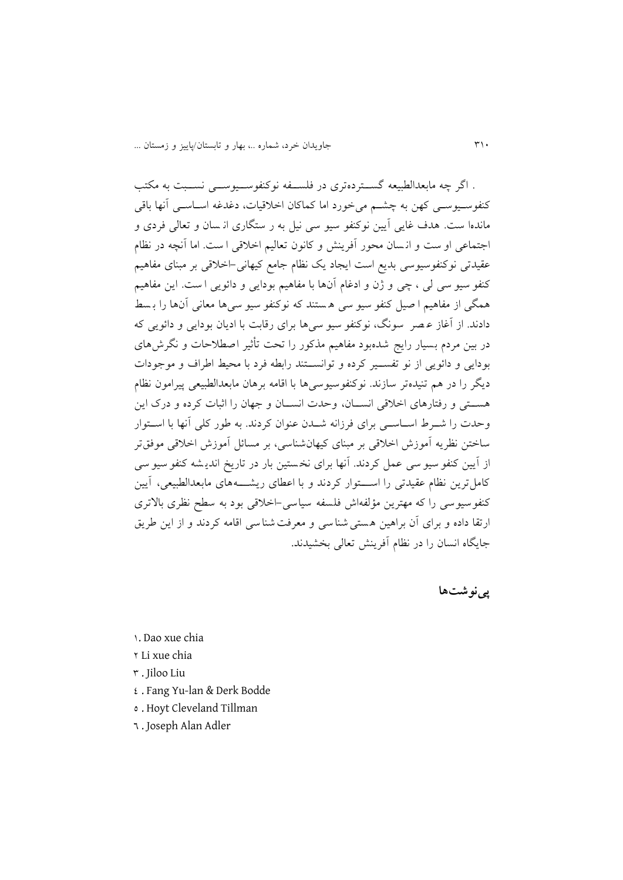. اگر چه مابعدالطبیعه گس تردهتری در فلس فه نوکنفوس یوس ی نس بت به مکتب کنفوسـیوسـی کهن به چشـم میخورد اما کماکان اخلاقیات، دغدغه اسـاسـی آنها باقی ماندها ست. هدف غايي آيين نوکنفو سيو سي نيل به ر ستگاري از سان و تعالي فردي و اجتماعی او ست و انسان محور آفرینش و کانون تعالیم اخلاقی ا ست. اما آنچه در نظام عقیدتی نوکنفوسیوسی بديع است ايجاد يک نظام جامع کیهانی-اخالقی بر مبنای مفاهیم کنفو سیو سی لی ، چی و ژن و ادغام آنها با مفاهیم بودایی و دائویی ا ست. این مفاهیم همگی از مفاهیم ا صیل کنفو سیو سی ه ستند که نوکنفو سیو سی ها معانی آنها را بسط دادند. از آغاز عـصر سونگ، نوکنفو سيو سي ها برای رقابت با اديان بودايی و دائويی که در بین مردم بسیار رایج شدهبود مفاهیم مذکور را تحت تأثیر اصطلاحات و نگرش های بودايی و دائويی از نو تفس یر کرده و توانس تند رابطه فرد با محیط اطراف و موجودات ديگر را در هم تنيدهتر سازند. نوکنفوسيوسے ها با اقامه برهان مابعدالطبیعی پیرامون نظام هستی و رفتارهای اخلاقی انســان، وحدت انســان و جهان را اثبات کرده و درک این وحدت را شــرط اســاســی برای فرزانه شــدن عنوان کردند. به طور کلی آنها با اســتوار ساختن نظر يه آموزش اخالقی بر مبنای کیهانشناسی، بر مسائل آموزش اخالق ی موفقتر از آيين کنفو سيو سي عمل کردند. آنها برای نخستين بار در تاريخ انديشه کنفو سيو سي کامل ترين نظام عقيدتی را اســـتوار کردند و با اعطای ريشــــههای مابعدالطبيعی، آيين کنفوسيوسی را که مهترين مؤلفهاش فلسفه سياسی-اخلاقی بود به سطح نظری بالاتری ارتقا داده و برای آن براهین هستی شناسی و معرفت شناسی اقامه کردند و از این طریق جايگاه انسان را در نظام آفرينش تعالی بخشیدند.

**پینوشتها**

3. Dao xue chia

2 Li xue chia

2 . Jiloo Liu

- 2 . Fang Yu-lan & Derk Bodde
- 2 . Hoyt Cleveland Tillman
- 2 . Joseph Alan Adler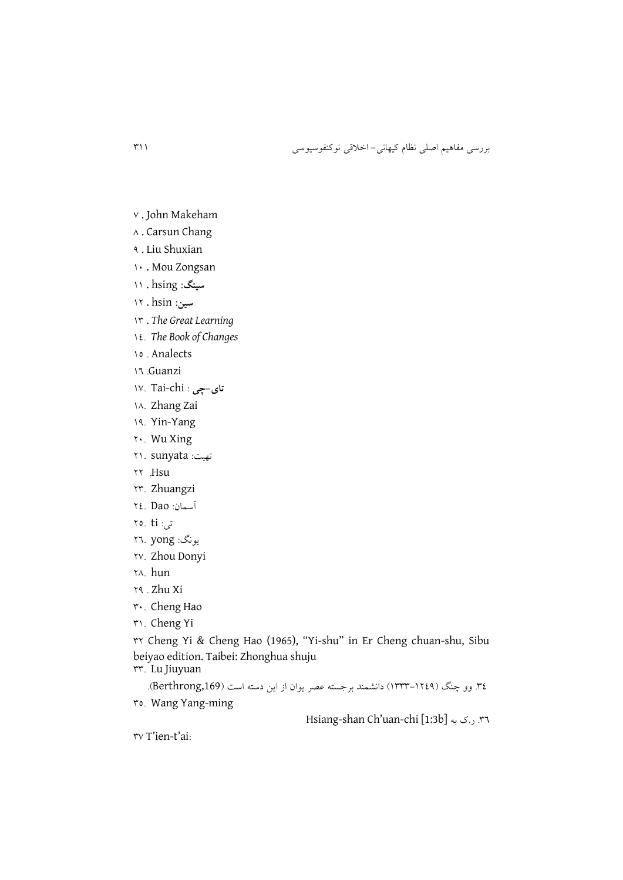- v. John Makeham
- 6 . Carsun Chang
- 9 . Liu Shuxian
- 31 . Mou Zongsan
- **سینگ:** hsing . 33
- **سین:** hsin . 32
- 32 . *The Great Learning*
- 32. *The Book of Changes*
- 32 . Analects
- 32 .Guanzi
- **تای-چی** : v. Tai-chi
- 36. Zhang Zai
- 39. Yin-Yang
- 21. Wu Xing
- تهیت: sunyata 23.
- 22 .Hsu
- 22. Zhuangzi
- آسمان: Dao 22.
- $\mathsf{r} \circ \mathsf{r} \mathsf{t}$ i: تی
- يونگ: yong 22.
- 21. Zhou Donyi
- 26. hun
- 29 . Zhu Xi
- 21. Cheng Hao
- 23. Cheng Yi

22 Cheng Yi & Cheng Hao (1965), "Yi-shu" in Er Cheng chuan-shu, Sibu beiyao edition. Taibei: Zhonghua shuju

- 22. Lu Jiuyuan
	- ٣٤. وو چنگ (١٢٤٩-١٣٣٣) دانشمند برجسته عصر يوان از اين دسته است (Berthrong,169).
- 22. Wang Yang-ming

Hsiang-shan Ch'uan-chi [1:3b] به ی.ر .22

rv T'ien-t'ai: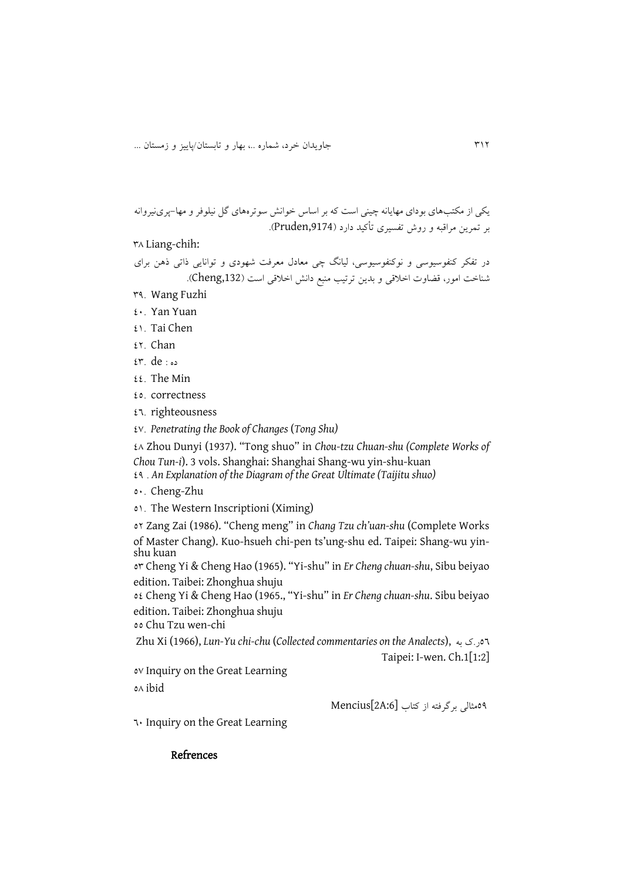```
يکی از مکتبهای بودای مهايانه چینی است که بر اساس خوانش سوترههای گل نیلوفر و مها-پرینیروانه 
                      بر تمرين مراقبه و روش تفسیری ت کید دارد ),9174Pruden).
```
26 Liang-chih:

در تفکر کنفوسیوسی و نوکنفوسیوسی، لیانگ چی معادل معرفت شهودی و توانایی ذاتی ذهن برای شناخت امور، قضاوت اخلاقی و بدين ترتيب منبع دانش اخلاقی است (Cheng,132).

- 29. Wang Fuzhi
- 21. Yan Yuan
- 23. Tai Chen
- 22. Chan
- $x^*$  de  $\cdots$
- $22.$  The Min
- 22. correctness
- $27.$  righteousness
- 21. *Penetrating the Book of Changes* (*Tong Shu)*

26 Zhou Dunyi (1937). "Tong shuo" in *Chou-tzu Chuan-shu (Complete Works of Chou Tun-i*). 3 vols. Shanghai: Shanghai Shang-wu yin-shu-kuan

- 29 . *An Explanation of the Diagram of the Great Ultimate (Taijitu shuo)*
- 21. Cheng-Zhu
- 23. The Western Inscriptioni (Ximing)

22 Zang Zai (1986). "Cheng meng" in *Chang Tzu ch'uan-shu* (Complete Works of Master Chang). Kuo-hsueh chi-pen ts'ung-shu ed. Taipei: Shang-wu yinshu kuan

22 Cheng Yi & Cheng Hao (1965). "Yi-shu" in *Er Cheng chuan-shu*, Sibu beiyao edition. Taibei: Zhonghua shuju

22 Cheng Yi & Cheng Hao (1965., "Yi-shu" in *Er Cheng chuan-shu*. Sibu beiyao edition. Taibei: Zhonghua shuju

22 Chu Tzu wen-chi

Zhu Xi (1966), *Lun-Yu chi-chu* (*Collected commentaries on the Analects*), به ی.ر22 Taipei: I-wen. Ch.1[1:2]

21 Inquiry on the Great Learning 26 ibid

29مثالی برگرفته از کتاب [:6A2[Mencius

21 Inquiry on the Great Learning

#### Refrences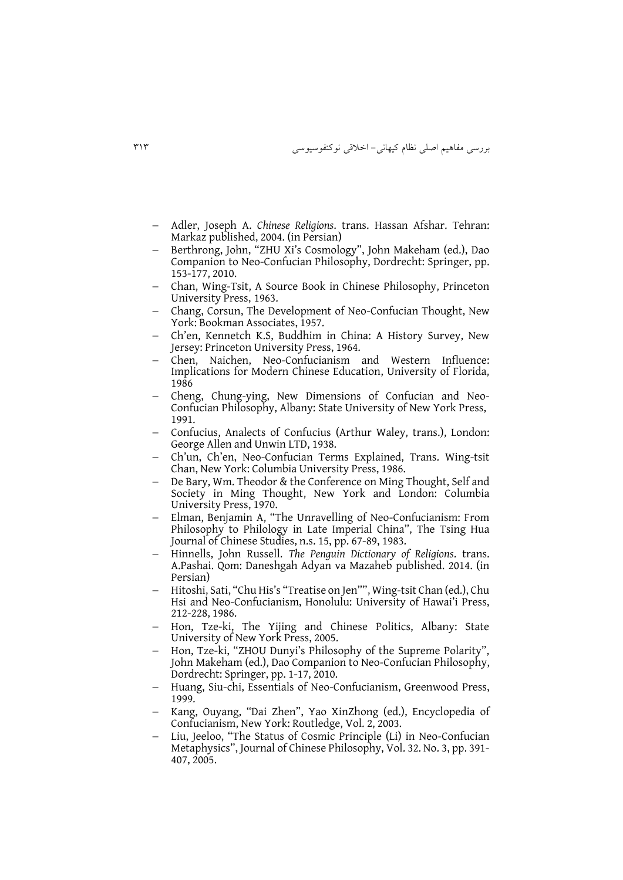- Adler, Joseph A. *Chinese Religions*. trans. Hassan Afshar. Tehran: Markaz published, 2004. (in Persian)
- Berthrong, John, "ZHU Xi's Cosmology", John Makeham (ed.), Dao Companion to Neo-Confucian Philosophy, Dordrecht: Springer, pp. 153-177, 2010.
- Chan, Wing-Tsit, A Source Book in Chinese Philosophy, Princeton University Press, 1963.
- Chang, Corsun, The Development of Neo-Confucian Thought, New York: Bookman Associates, 1957.
- Ch'en, Kennetch K.S, Buddhim in China: A History Survey, New Jersey: Princeton University Press, 1964.
- Chen, Naichen, Neo-Confucianism and Western Influence: Implications for Modern Chinese Education, University of Florida, 1986
- Cheng, Chung-ying, New Dimensions of Confucian and Neo-Confucian Philosophy, Albany: State University of New York Press, 1991.
- Confucius, Analects of Confucius (Arthur Waley, trans.), London: George Allen and Unwin LTD, 1938.
- Ch'un, Ch'en, Neo-Confucian Terms Explained, Trans. Wing-tsit Chan, New York: Columbia University Press, 1986.
- De Bary, Wm. Theodor & the Conference on Ming Thought, Self and Society in Ming Thought, New York and London: Columbia University Press, 1970.
- Elman, Benjamin A, "The Unravelling of Neo-Confucianism: From Philosophy to Philology in Late Imperial China", The Tsing Hua Journal of Chinese Studies, n.s. 15, pp. 67-89, 1983.
- Hinnells, John Russell. *The Penguin Dictionary of Religions*. trans. A.Pashai. Qom: Daneshgah Adyan va Mazaheb published. 2014. (in Persian)
- Hitoshi, Sati, "Chu His's "Treatise on Jen"", Wing-tsit Chan (ed.), Chu Hsi and Neo-Confucianism, Honolulu: University of Hawai'i Press, 212-228, 1986.
- Hon, Tze-ki, The Yijing and Chinese Politics, Albany: State University of New York Press, 2005.
- Hon, Tze-ki, "ZHOU Dunyi's Philosophy of the Supreme Polarity", John Makeham (ed.), Dao Companion to Neo-Confucian Philosophy, Dordrecht: Springer, pp. 1-17, 2010.
- Huang, Siu-chi, Essentials of Neo-Confucianism, Greenwood Press, 1999.
- Kang, Ouyang, "Dai Zhen", Yao XinZhong (ed.), Encyclopedia of Confucianism, New York: Routledge, Vol. 2, 2003.
- Liu, Jeeloo, "The Status of Cosmic Principle (Li) in Neo-Confucian Metaphysics", Journal of Chinese Philosophy, Vol. 32. No. 3, pp. 391- 407, 2005.